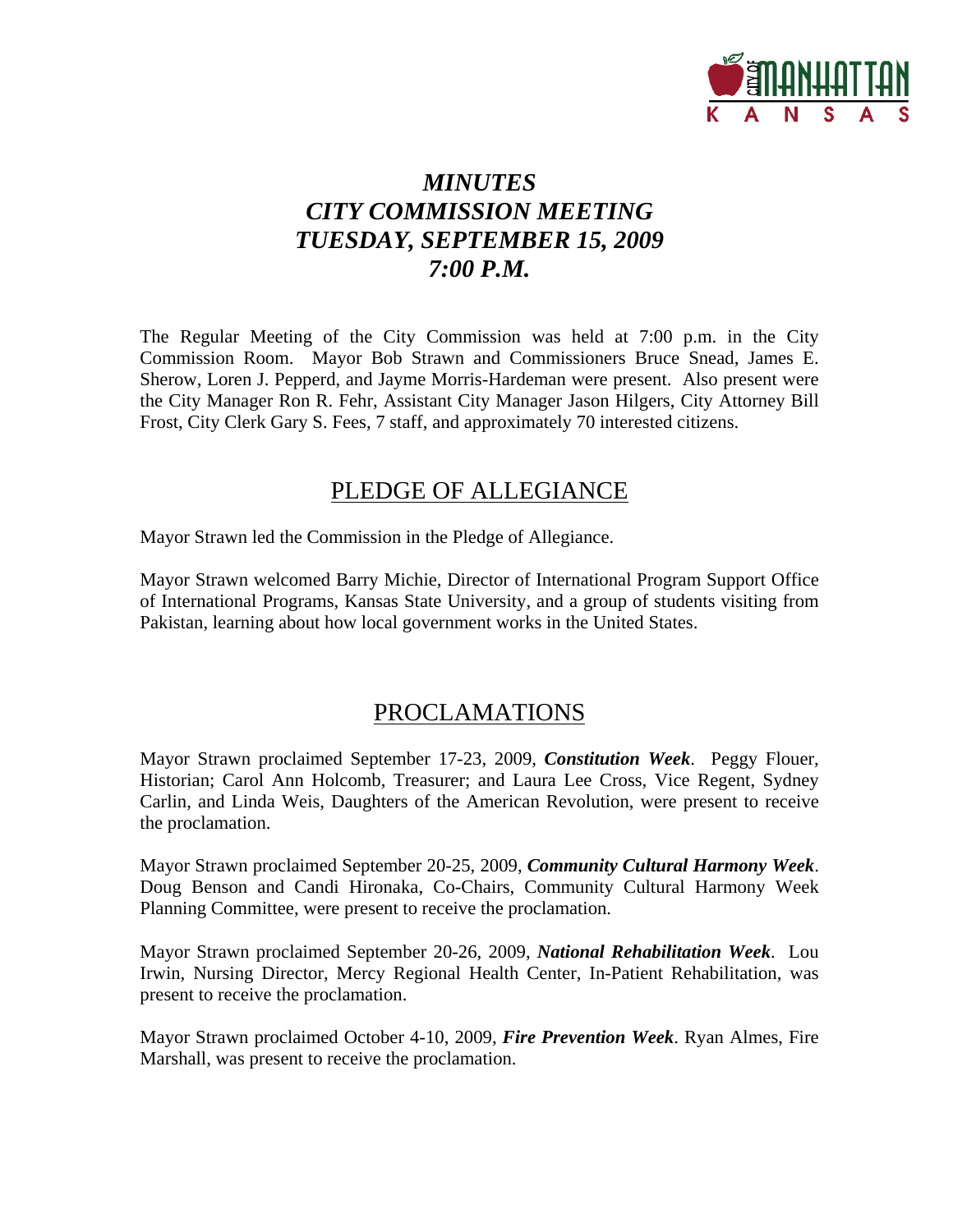

# *MINUTES CITY COMMISSION MEETING TUESDAY, SEPTEMBER 15, 2009 7:00 P.M.*

The Regular Meeting of the City Commission was held at 7:00 p.m. in the City Commission Room. Mayor Bob Strawn and Commissioners Bruce Snead, James E. Sherow, Loren J. Pepperd, and Jayme Morris-Hardeman were present. Also present were the City Manager Ron R. Fehr, Assistant City Manager Jason Hilgers, City Attorney Bill Frost, City Clerk Gary S. Fees, 7 staff, and approximately 70 interested citizens.

## PLEDGE OF ALLEGIANCE

Mayor Strawn led the Commission in the Pledge of Allegiance.

Mayor Strawn welcomed Barry Michie, Director of International Program Support Office of International Programs, Kansas State University, and a group of students visiting from Pakistan, learning about how local government works in the United States.

## PROCLAMATIONS

Mayor Strawn proclaimed September 17-23, 2009, *Constitution Week*. Peggy Flouer, Historian; Carol Ann Holcomb, Treasurer; and Laura Lee Cross, Vice Regent, Sydney Carlin, and Linda Weis, Daughters of the American Revolution, were present to receive the proclamation.

Mayor Strawn proclaimed September 20-25, 2009, *Community Cultural Harmony Week*. Doug Benson and Candi Hironaka, Co-Chairs, Community Cultural Harmony Week Planning Committee, were present to receive the proclamation.

Mayor Strawn proclaimed September 20-26, 2009, *National Rehabilitation Week*. Lou Irwin, Nursing Director, Mercy Regional Health Center, In-Patient Rehabilitation, was present to receive the proclamation.

Mayor Strawn proclaimed October 4-10, 2009, *Fire Prevention Week*. Ryan Almes, Fire Marshall, was present to receive the proclamation.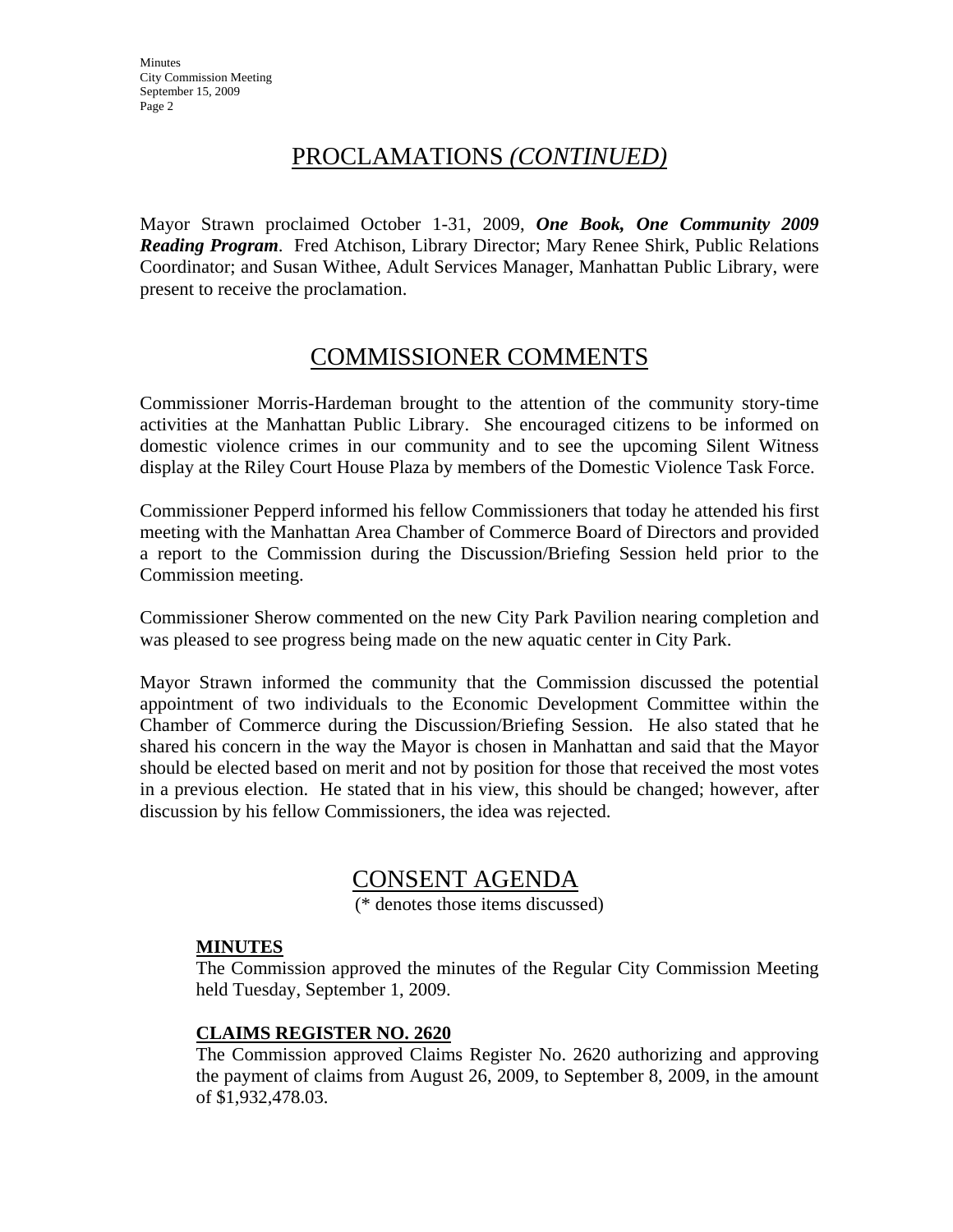# PROCLAMATIONS *(CONTINUED)*

Mayor Strawn proclaimed October 1-31, 2009, *One Book, One Community 2009 Reading Program*. Fred Atchison, Library Director; Mary Renee Shirk, Public Relations Coordinator; and Susan Withee, Adult Services Manager, Manhattan Public Library, were present to receive the proclamation.

## COMMISSIONER COMMENTS

Commissioner Morris-Hardeman brought to the attention of the community story-time activities at the Manhattan Public Library. She encouraged citizens to be informed on domestic violence crimes in our community and to see the upcoming Silent Witness display at the Riley Court House Plaza by members of the Domestic Violence Task Force.

Commissioner Pepperd informed his fellow Commissioners that today he attended his first meeting with the Manhattan Area Chamber of Commerce Board of Directors and provided a report to the Commission during the Discussion/Briefing Session held prior to the Commission meeting.

Commissioner Sherow commented on the new City Park Pavilion nearing completion and was pleased to see progress being made on the new aquatic center in City Park.

Mayor Strawn informed the community that the Commission discussed the potential appointment of two individuals to the Economic Development Committee within the Chamber of Commerce during the Discussion/Briefing Session. He also stated that he shared his concern in the way the Mayor is chosen in Manhattan and said that the Mayor should be elected based on merit and not by position for those that received the most votes in a previous election. He stated that in his view, this should be changed; however, after discussion by his fellow Commissioners, the idea was rejected.

## CONSENT AGENDA

(\* denotes those items discussed)

#### **MINUTES**

The Commission approved the minutes of the Regular City Commission Meeting held Tuesday, September 1, 2009.

#### **CLAIMS REGISTER NO. 2620**

The Commission approved Claims Register No. 2620 authorizing and approving the payment of claims from August 26, 2009, to September 8, 2009, in the amount of \$1,932,478.03.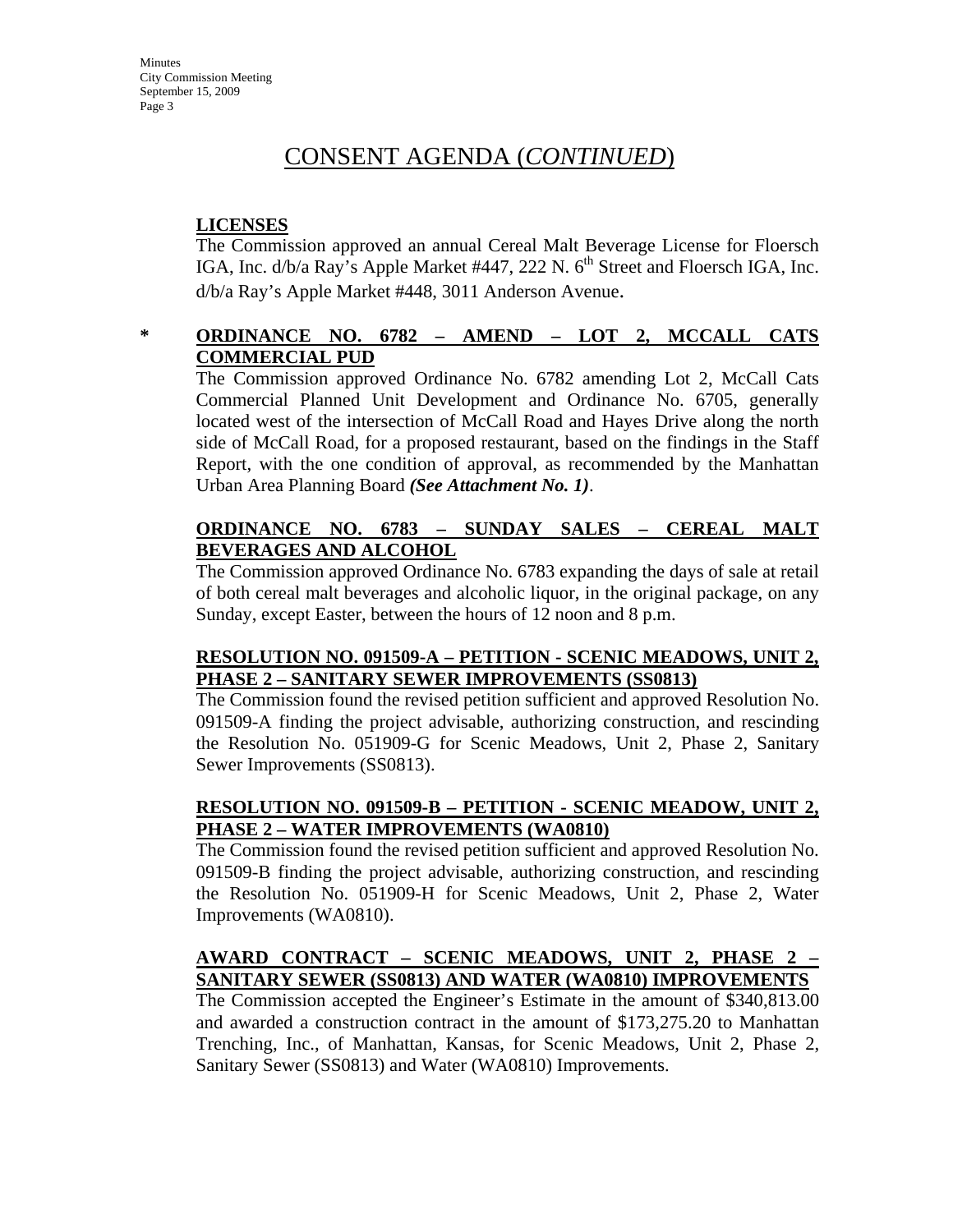# CONSENT AGENDA (*CONTINUED*)

### **LICENSES**

The Commission approved an annual Cereal Malt Beverage License for Floersch IGA, Inc.  $d/b/a$  Ray's Apple Market #447, 222 N.  $6<sup>th</sup>$  Street and Floersch IGA, Inc. d/b/a Ray's Apple Market #448, 3011 Anderson Avenue.

### **\* ORDINANCE NO. 6782 – AMEND – LOT 2, MCCALL CATS COMMERCIAL PUD**

The Commission approved Ordinance No. 6782 amending Lot 2, McCall Cats Commercial Planned Unit Development and Ordinance No. 6705, generally located west of the intersection of McCall Road and Hayes Drive along the north side of McCall Road, for a proposed restaurant, based on the findings in the Staff Report, with the one condition of approval, as recommended by the Manhattan Urban Area Planning Board *(See Attachment No. 1)*.

### **ORDINANCE NO. 6783 – SUNDAY SALES – CEREAL MALT BEVERAGES AND ALCOHOL**

The Commission approved Ordinance No. 6783 expanding the days of sale at retail of both cereal malt beverages and alcoholic liquor, in the original package, on any Sunday, except Easter, between the hours of 12 noon and 8 p.m.

#### **RESOLUTION NO. 091509-A – PETITION - SCENIC MEADOWS, UNIT 2, PHASE 2 – SANITARY SEWER IMPROVEMENTS (SS0813)**

The Commission found the revised petition sufficient and approved Resolution No. 091509-A finding the project advisable, authorizing construction, and rescinding the Resolution No. 051909-G for Scenic Meadows, Unit 2, Phase 2, Sanitary Sewer Improvements (SS0813).

#### **RESOLUTION NO. 091509-B – PETITION - SCENIC MEADOW, UNIT 2, PHASE 2 – WATER IMPROVEMENTS (WA0810)**

The Commission found the revised petition sufficient and approved Resolution No. 091509-B finding the project advisable, authorizing construction, and rescinding the Resolution No. 051909-H for Scenic Meadows, Unit 2, Phase 2, Water Improvements (WA0810).

### **AWARD CONTRACT – SCENIC MEADOWS, UNIT 2, PHASE 2 – SANITARY SEWER (SS0813) AND WATER (WA0810) IMPROVEMENTS**

The Commission accepted the Engineer's Estimate in the amount of \$340,813.00 and awarded a construction contract in the amount of \$173,275.20 to Manhattan Trenching, Inc., of Manhattan, Kansas, for Scenic Meadows, Unit 2, Phase 2, Sanitary Sewer (SS0813) and Water (WA0810) Improvements.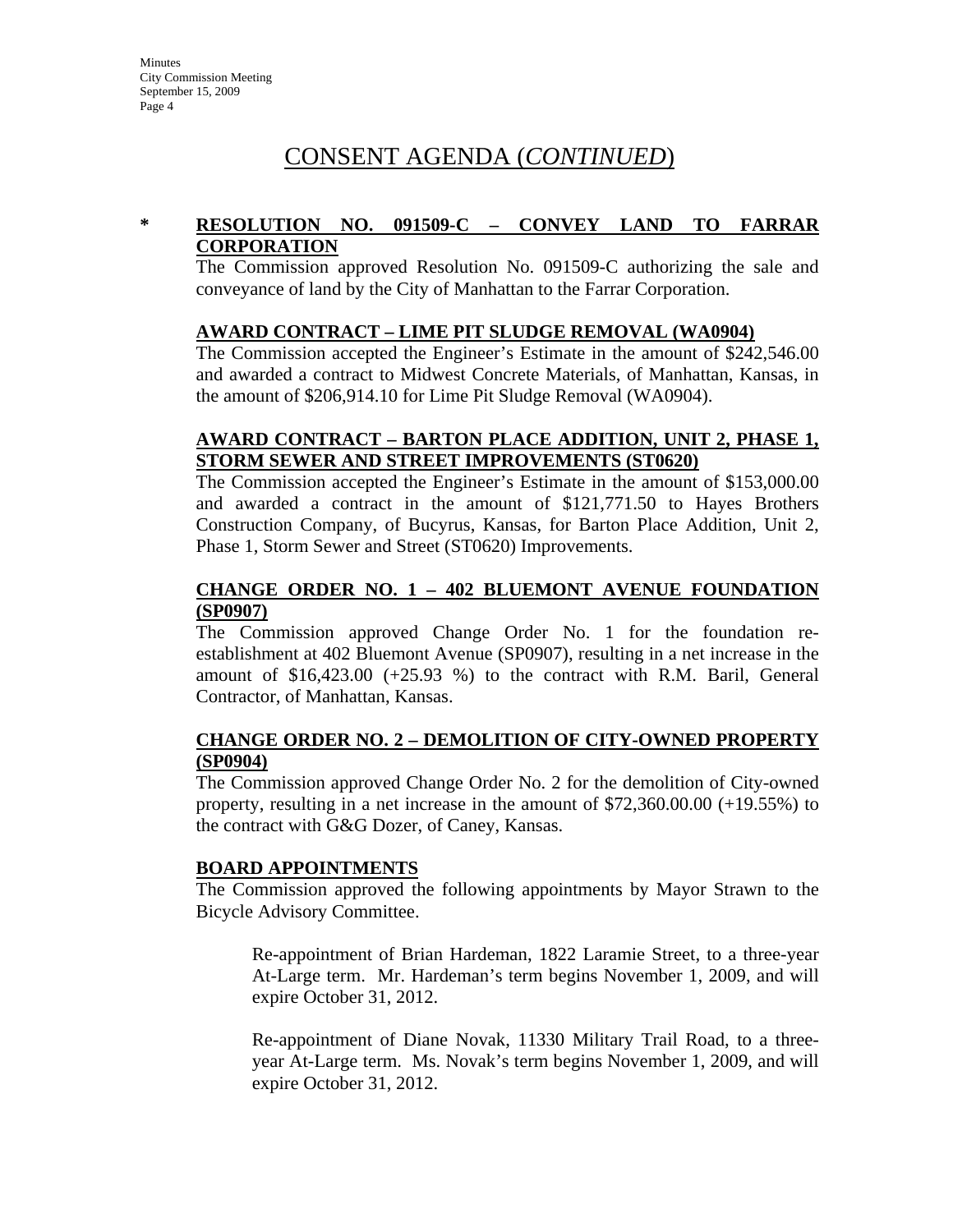# CONSENT AGENDA (*CONTINUED*)

#### **\* RESOLUTION NO. 091509-C – CONVEY LAND TO FARRAR CORPORATION**

The Commission approved Resolution No. 091509-C authorizing the sale and conveyance of land by the City of Manhattan to the Farrar Corporation.

#### **AWARD CONTRACT – LIME PIT SLUDGE REMOVAL (WA0904)**

The Commission accepted the Engineer's Estimate in the amount of \$242,546.00 and awarded a contract to Midwest Concrete Materials, of Manhattan, Kansas, in the amount of \$206,914.10 for Lime Pit Sludge Removal (WA0904).

#### **AWARD CONTRACT – BARTON PLACE ADDITION, UNIT 2, PHASE 1, STORM SEWER AND STREET IMPROVEMENTS (ST0620)**

The Commission accepted the Engineer's Estimate in the amount of \$153,000.00 and awarded a contract in the amount of \$121,771.50 to Hayes Brothers Construction Company, of Bucyrus, Kansas, for Barton Place Addition, Unit 2, Phase 1, Storm Sewer and Street (ST0620) Improvements.

#### **CHANGE ORDER NO. 1 – 402 BLUEMONT AVENUE FOUNDATION (SP0907)**

The Commission approved Change Order No. 1 for the foundation reestablishment at 402 Bluemont Avenue (SP0907), resulting in a net increase in the amount of \$16,423.00 (+25.93 %) to the contract with R.M. Baril, General Contractor, of Manhattan, Kansas.

#### **CHANGE ORDER NO. 2 – DEMOLITION OF CITY-OWNED PROPERTY (SP0904)**

The Commission approved Change Order No. 2 for the demolition of City-owned property, resulting in a net increase in the amount of \$72,360.00.00 (+19.55%) to the contract with G&G Dozer, of Caney, Kansas.

#### **BOARD APPOINTMENTS**

The Commission approved the following appointments by Mayor Strawn to the Bicycle Advisory Committee.

Re-appointment of Brian Hardeman, 1822 Laramie Street, to a three-year At-Large term. Mr. Hardeman's term begins November 1, 2009, and will expire October 31, 2012.

Re-appointment of Diane Novak, 11330 Military Trail Road, to a threeyear At-Large term. Ms. Novak's term begins November 1, 2009, and will expire October 31, 2012.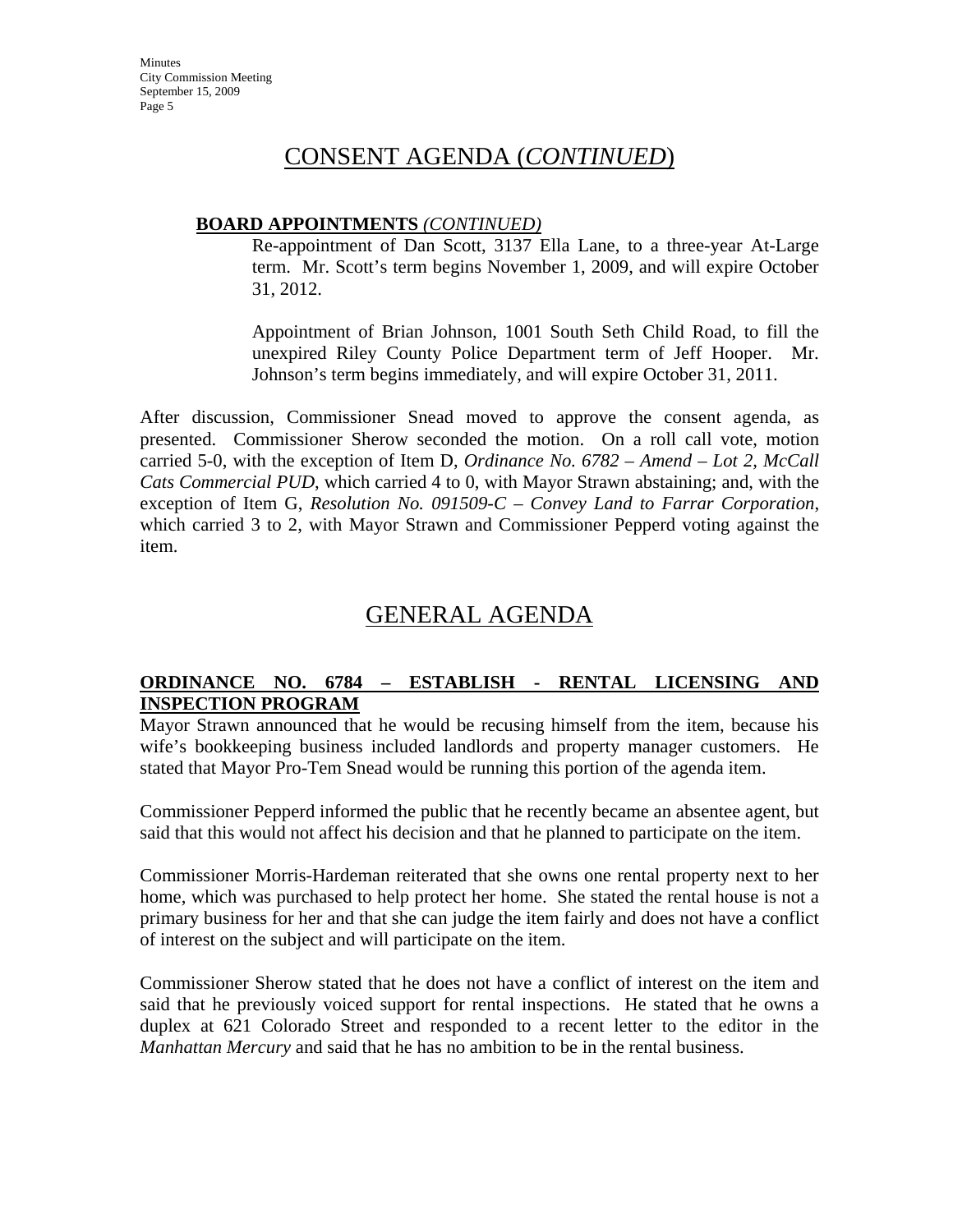## CONSENT AGENDA (*CONTINUED*)

#### **BOARD APPOINTMENTS** *(CONTINUED)*

Re-appointment of Dan Scott, 3137 Ella Lane, to a three-year At-Large term. Mr. Scott's term begins November 1, 2009, and will expire October 31, 2012.

Appointment of Brian Johnson, 1001 South Seth Child Road, to fill the unexpired Riley County Police Department term of Jeff Hooper. Mr. Johnson's term begins immediately, and will expire October 31, 2011.

After discussion, Commissioner Snead moved to approve the consent agenda, as presented. Commissioner Sherow seconded the motion. On a roll call vote, motion carried 5-0, with the exception of Item D, *Ordinance No. 6782 – Amend – Lot 2, McCall Cats Commercial PUD*, which carried 4 to 0, with Mayor Strawn abstaining; and, with the exception of Item G, *Resolution No. 091509-C – Convey Land to Farrar Corporation*, which carried 3 to 2, with Mayor Strawn and Commissioner Pepperd voting against the item.

# GENERAL AGENDA

### **ORDINANCE NO. 6784 – ESTABLISH - RENTAL LICENSING AND INSPECTION PROGRAM**

Mayor Strawn announced that he would be recusing himself from the item, because his wife's bookkeeping business included landlords and property manager customers. He stated that Mayor Pro-Tem Snead would be running this portion of the agenda item.

Commissioner Pepperd informed the public that he recently became an absentee agent, but said that this would not affect his decision and that he planned to participate on the item.

Commissioner Morris-Hardeman reiterated that she owns one rental property next to her home, which was purchased to help protect her home. She stated the rental house is not a primary business for her and that she can judge the item fairly and does not have a conflict of interest on the subject and will participate on the item.

Commissioner Sherow stated that he does not have a conflict of interest on the item and said that he previously voiced support for rental inspections. He stated that he owns a duplex at 621 Colorado Street and responded to a recent letter to the editor in the *Manhattan Mercury* and said that he has no ambition to be in the rental business.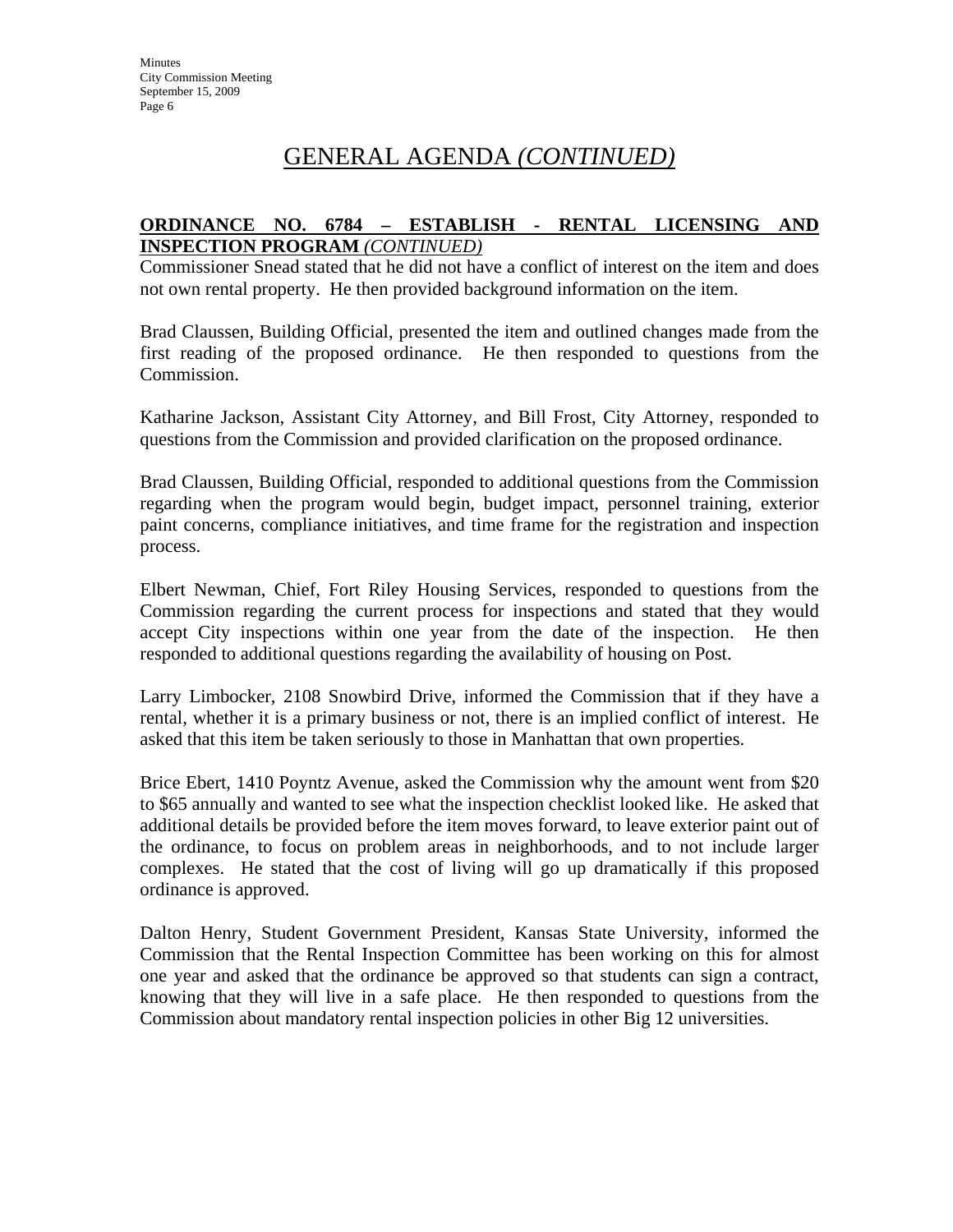### **ORDINANCE NO. 6784 – ESTABLISH - RENTAL LICENSING AND INSPECTION PROGRAM** *(CONTINUED)*

Commissioner Snead stated that he did not have a conflict of interest on the item and does not own rental property. He then provided background information on the item.

Brad Claussen, Building Official, presented the item and outlined changes made from the first reading of the proposed ordinance. He then responded to questions from the Commission.

Katharine Jackson, Assistant City Attorney, and Bill Frost, City Attorney, responded to questions from the Commission and provided clarification on the proposed ordinance.

Brad Claussen, Building Official, responded to additional questions from the Commission regarding when the program would begin, budget impact, personnel training, exterior paint concerns, compliance initiatives, and time frame for the registration and inspection process.

Elbert Newman, Chief, Fort Riley Housing Services, responded to questions from the Commission regarding the current process for inspections and stated that they would accept City inspections within one year from the date of the inspection. He then responded to additional questions regarding the availability of housing on Post.

Larry Limbocker, 2108 Snowbird Drive, informed the Commission that if they have a rental, whether it is a primary business or not, there is an implied conflict of interest. He asked that this item be taken seriously to those in Manhattan that own properties.

Brice Ebert, 1410 Poyntz Avenue, asked the Commission why the amount went from \$20 to \$65 annually and wanted to see what the inspection checklist looked like. He asked that additional details be provided before the item moves forward, to leave exterior paint out of the ordinance, to focus on problem areas in neighborhoods, and to not include larger complexes. He stated that the cost of living will go up dramatically if this proposed ordinance is approved.

Dalton Henry, Student Government President, Kansas State University, informed the Commission that the Rental Inspection Committee has been working on this for almost one year and asked that the ordinance be approved so that students can sign a contract, knowing that they will live in a safe place. He then responded to questions from the Commission about mandatory rental inspection policies in other Big 12 universities.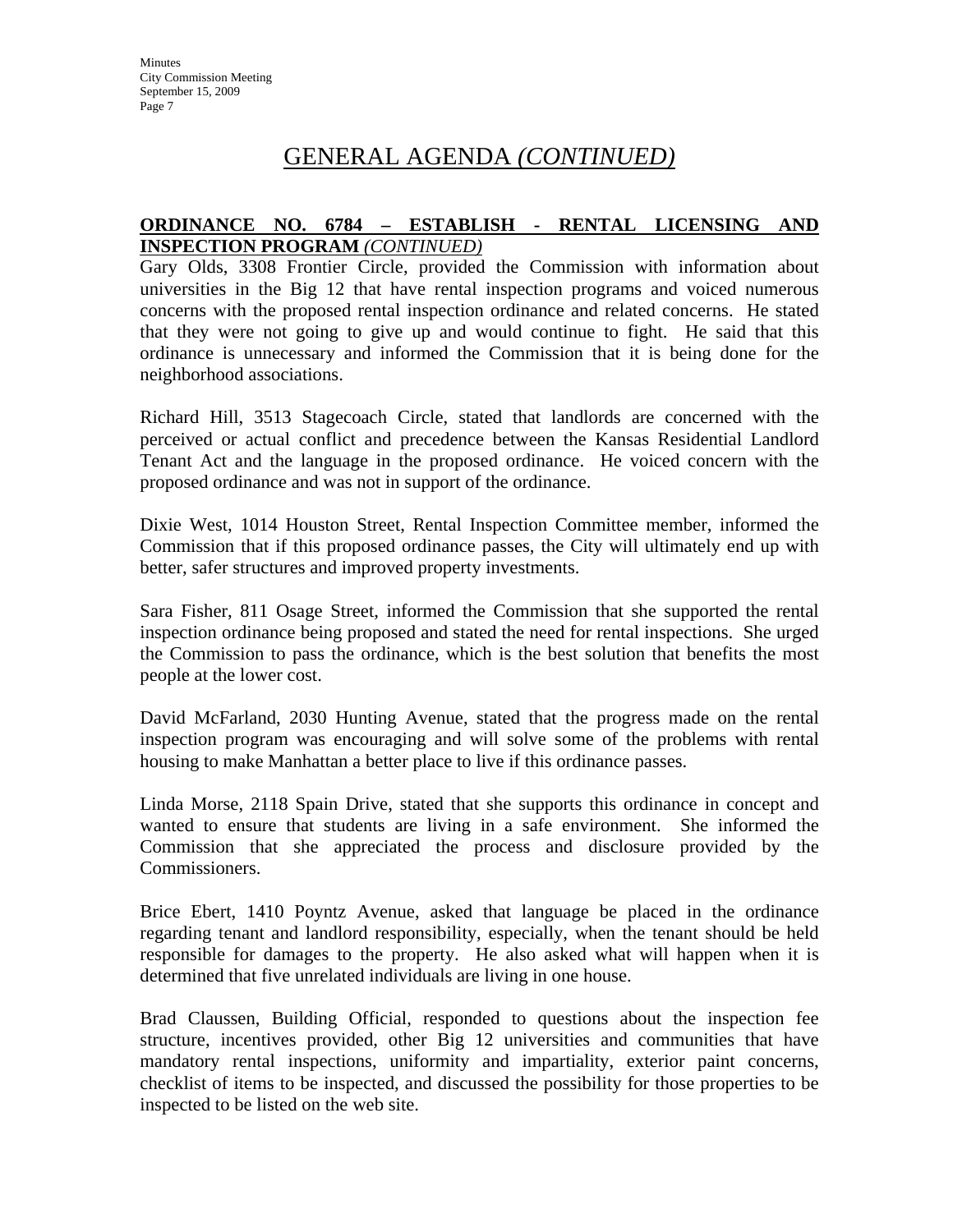#### **ORDINANCE NO. 6784 – ESTABLISH - RENTAL LICENSING AND INSPECTION PROGRAM** *(CONTINUED)*

Gary Olds, 3308 Frontier Circle, provided the Commission with information about universities in the Big 12 that have rental inspection programs and voiced numerous concerns with the proposed rental inspection ordinance and related concerns. He stated that they were not going to give up and would continue to fight. He said that this ordinance is unnecessary and informed the Commission that it is being done for the neighborhood associations.

Richard Hill, 3513 Stagecoach Circle, stated that landlords are concerned with the perceived or actual conflict and precedence between the Kansas Residential Landlord Tenant Act and the language in the proposed ordinance. He voiced concern with the proposed ordinance and was not in support of the ordinance.

Dixie West, 1014 Houston Street, Rental Inspection Committee member, informed the Commission that if this proposed ordinance passes, the City will ultimately end up with better, safer structures and improved property investments.

Sara Fisher, 811 Osage Street, informed the Commission that she supported the rental inspection ordinance being proposed and stated the need for rental inspections. She urged the Commission to pass the ordinance, which is the best solution that benefits the most people at the lower cost.

David McFarland, 2030 Hunting Avenue, stated that the progress made on the rental inspection program was encouraging and will solve some of the problems with rental housing to make Manhattan a better place to live if this ordinance passes.

Linda Morse, 2118 Spain Drive, stated that she supports this ordinance in concept and wanted to ensure that students are living in a safe environment. She informed the Commission that she appreciated the process and disclosure provided by the Commissioners.

Brice Ebert, 1410 Poyntz Avenue, asked that language be placed in the ordinance regarding tenant and landlord responsibility, especially, when the tenant should be held responsible for damages to the property. He also asked what will happen when it is determined that five unrelated individuals are living in one house.

Brad Claussen, Building Official, responded to questions about the inspection fee structure, incentives provided, other Big 12 universities and communities that have mandatory rental inspections, uniformity and impartiality, exterior paint concerns, checklist of items to be inspected, and discussed the possibility for those properties to be inspected to be listed on the web site.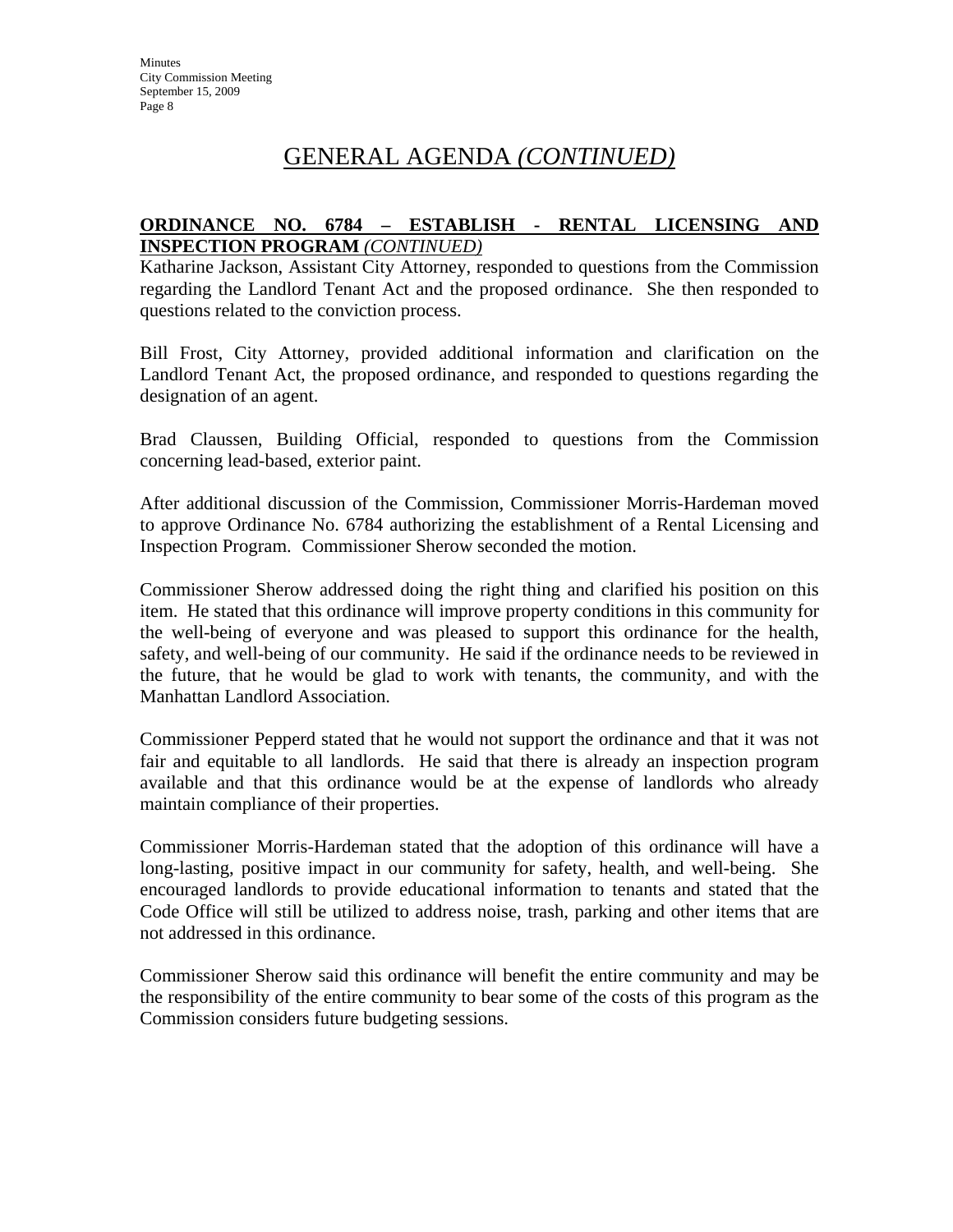#### **ORDINANCE NO. 6784 – ESTABLISH - RENTAL LICENSING AND INSPECTION PROGRAM** *(CONTINUED)*

Katharine Jackson, Assistant City Attorney, responded to questions from the Commission regarding the Landlord Tenant Act and the proposed ordinance. She then responded to questions related to the conviction process.

Bill Frost, City Attorney, provided additional information and clarification on the Landlord Tenant Act, the proposed ordinance, and responded to questions regarding the designation of an agent.

Brad Claussen, Building Official, responded to questions from the Commission concerning lead-based, exterior paint.

After additional discussion of the Commission, Commissioner Morris-Hardeman moved to approve Ordinance No. 6784 authorizing the establishment of a Rental Licensing and Inspection Program. Commissioner Sherow seconded the motion.

Commissioner Sherow addressed doing the right thing and clarified his position on this item. He stated that this ordinance will improve property conditions in this community for the well-being of everyone and was pleased to support this ordinance for the health, safety, and well-being of our community. He said if the ordinance needs to be reviewed in the future, that he would be glad to work with tenants, the community, and with the Manhattan Landlord Association.

Commissioner Pepperd stated that he would not support the ordinance and that it was not fair and equitable to all landlords. He said that there is already an inspection program available and that this ordinance would be at the expense of landlords who already maintain compliance of their properties.

Commissioner Morris-Hardeman stated that the adoption of this ordinance will have a long-lasting, positive impact in our community for safety, health, and well-being. She encouraged landlords to provide educational information to tenants and stated that the Code Office will still be utilized to address noise, trash, parking and other items that are not addressed in this ordinance.

Commissioner Sherow said this ordinance will benefit the entire community and may be the responsibility of the entire community to bear some of the costs of this program as the Commission considers future budgeting sessions.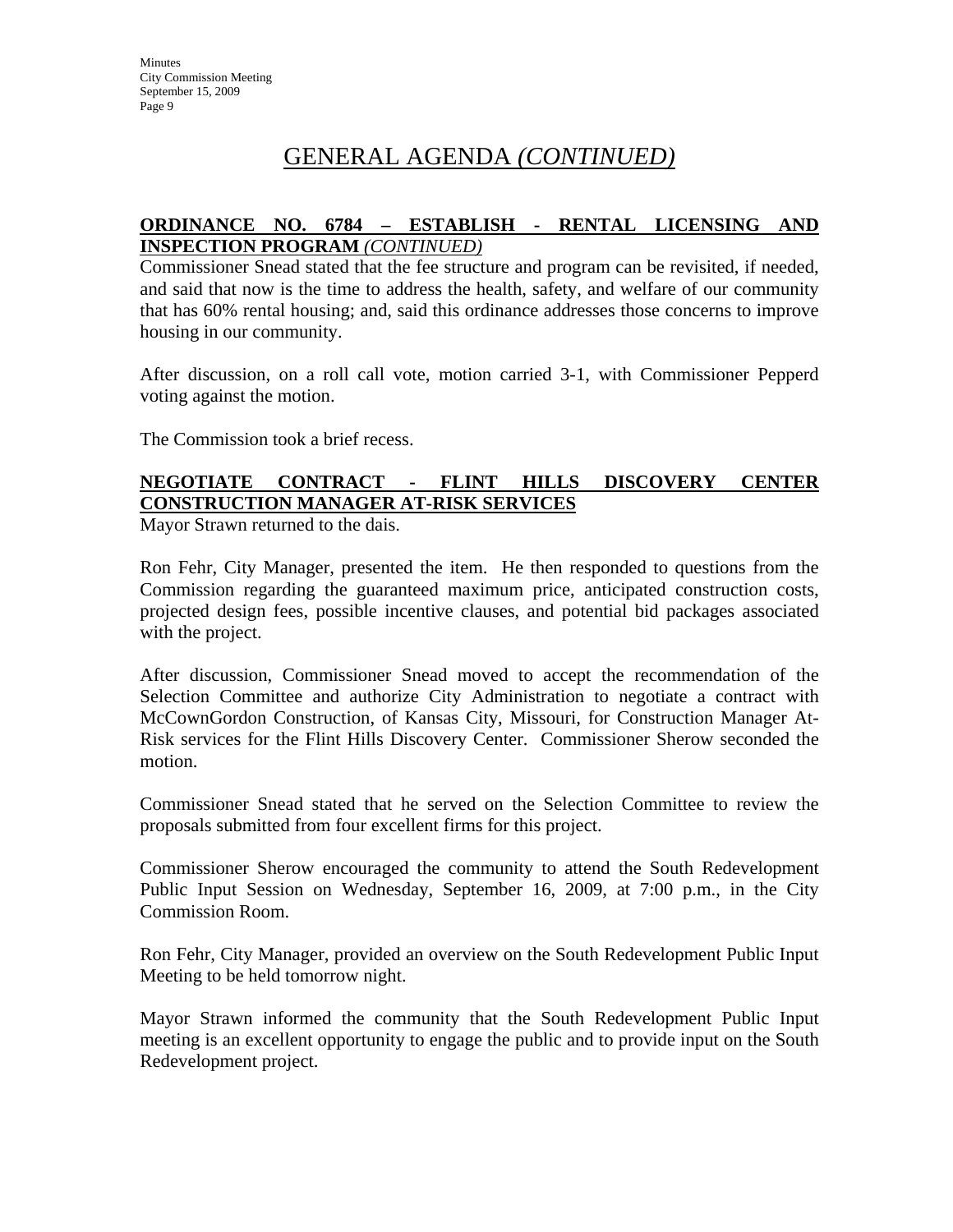#### **ORDINANCE NO. 6784 – ESTABLISH - RENTAL LICENSING AND INSPECTION PROGRAM** *(CONTINUED)*

Commissioner Snead stated that the fee structure and program can be revisited, if needed, and said that now is the time to address the health, safety, and welfare of our community that has 60% rental housing; and, said this ordinance addresses those concerns to improve housing in our community.

After discussion, on a roll call vote, motion carried 3-1, with Commissioner Pepperd voting against the motion.

The Commission took a brief recess.

## **NEGOTIATE CONTRACT - FLINT HILLS DISCOVERY CENTER CONSTRUCTION MANAGER AT-RISK SERVICES**

Mayor Strawn returned to the dais.

Ron Fehr, City Manager, presented the item. He then responded to questions from the Commission regarding the guaranteed maximum price, anticipated construction costs, projected design fees, possible incentive clauses, and potential bid packages associated with the project.

After discussion, Commissioner Snead moved to accept the recommendation of the Selection Committee and authorize City Administration to negotiate a contract with McCownGordon Construction, of Kansas City, Missouri, for Construction Manager At-Risk services for the Flint Hills Discovery Center. Commissioner Sherow seconded the motion.

Commissioner Snead stated that he served on the Selection Committee to review the proposals submitted from four excellent firms for this project.

Commissioner Sherow encouraged the community to attend the South Redevelopment Public Input Session on Wednesday, September 16, 2009, at 7:00 p.m., in the City Commission Room.

Ron Fehr, City Manager, provided an overview on the South Redevelopment Public Input Meeting to be held tomorrow night.

Mayor Strawn informed the community that the South Redevelopment Public Input meeting is an excellent opportunity to engage the public and to provide input on the South Redevelopment project.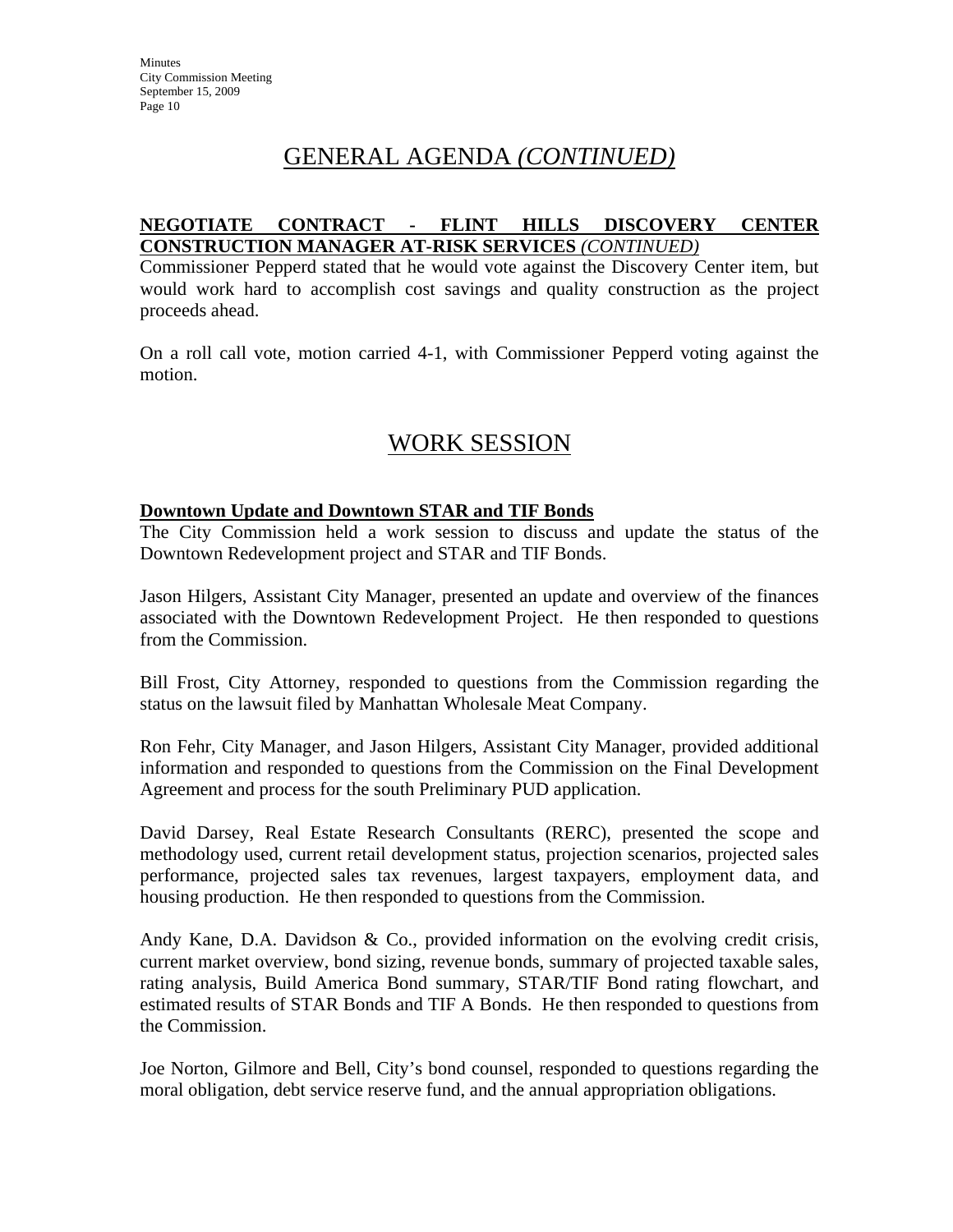#### **NEGOTIATE CONTRACT - FLINT HILLS DISCOVERY CENTER CONSTRUCTION MANAGER AT-RISK SERVICES** *(CONTINUED)*

Commissioner Pepperd stated that he would vote against the Discovery Center item, but would work hard to accomplish cost savings and quality construction as the project proceeds ahead.

On a roll call vote, motion carried 4-1, with Commissioner Pepperd voting against the motion.

# WORK SESSION

#### **Downtown Update and Downtown STAR and TIF Bonds**

The City Commission held a work session to discuss and update the status of the Downtown Redevelopment project and STAR and TIF Bonds.

Jason Hilgers, Assistant City Manager, presented an update and overview of the finances associated with the Downtown Redevelopment Project. He then responded to questions from the Commission.

Bill Frost, City Attorney, responded to questions from the Commission regarding the status on the lawsuit filed by Manhattan Wholesale Meat Company.

Ron Fehr, City Manager, and Jason Hilgers, Assistant City Manager, provided additional information and responded to questions from the Commission on the Final Development Agreement and process for the south Preliminary PUD application.

David Darsey, Real Estate Research Consultants (RERC), presented the scope and methodology used, current retail development status, projection scenarios, projected sales performance, projected sales tax revenues, largest taxpayers, employment data, and housing production. He then responded to questions from the Commission.

Andy Kane, D.A. Davidson & Co., provided information on the evolving credit crisis, current market overview, bond sizing, revenue bonds, summary of projected taxable sales, rating analysis, Build America Bond summary, STAR/TIF Bond rating flowchart, and estimated results of STAR Bonds and TIF A Bonds. He then responded to questions from the Commission.

Joe Norton, Gilmore and Bell, City's bond counsel, responded to questions regarding the moral obligation, debt service reserve fund, and the annual appropriation obligations.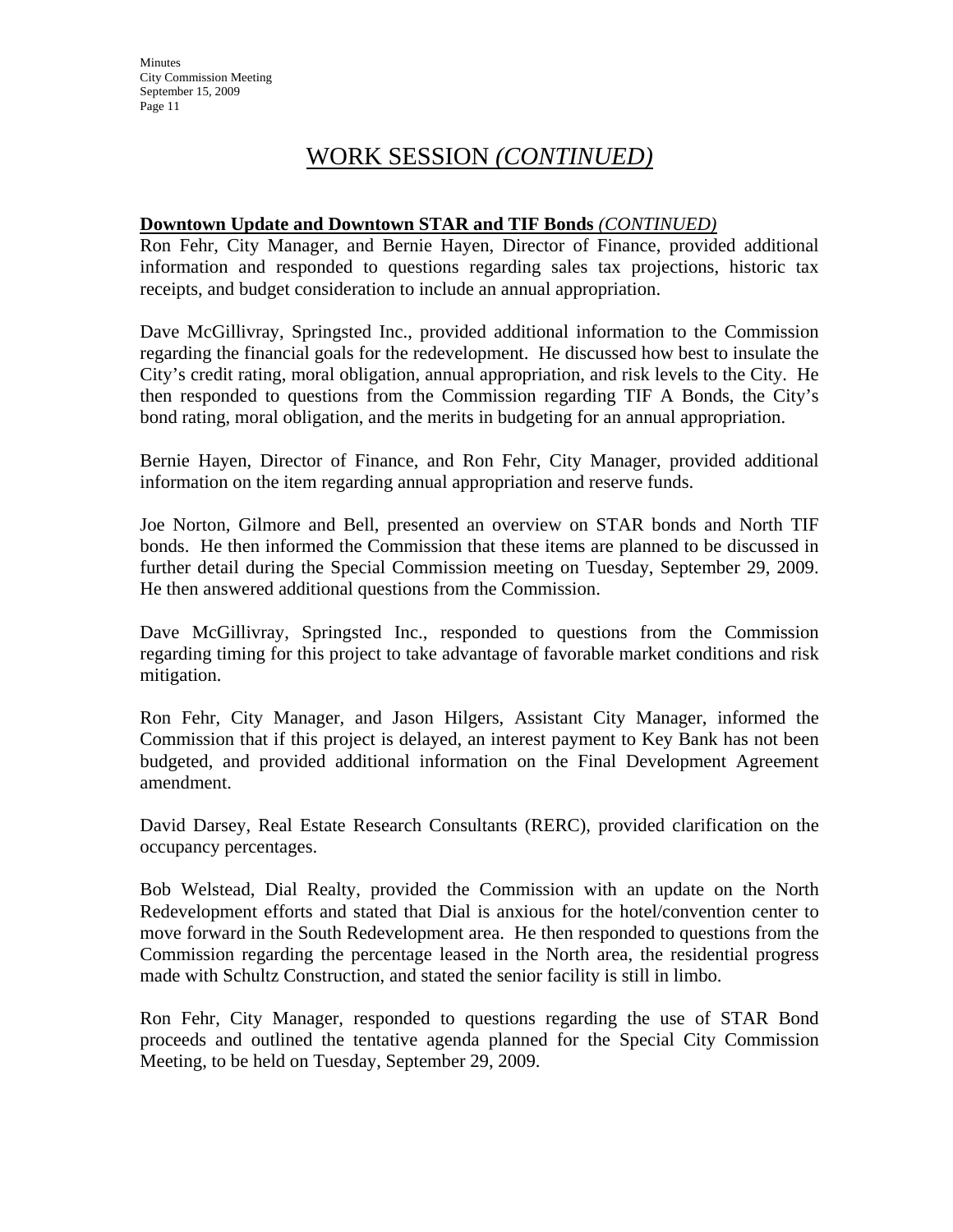**Minutes** City Commission Meeting September 15, 2009 Page 11

## WORK SESSION *(CONTINUED)*

#### **Downtown Update and Downtown STAR and TIF Bonds** *(CONTINUED)*

Ron Fehr, City Manager, and Bernie Hayen, Director of Finance, provided additional information and responded to questions regarding sales tax projections, historic tax receipts, and budget consideration to include an annual appropriation.

Dave McGillivray, Springsted Inc., provided additional information to the Commission regarding the financial goals for the redevelopment. He discussed how best to insulate the City's credit rating, moral obligation, annual appropriation, and risk levels to the City. He then responded to questions from the Commission regarding TIF A Bonds, the City's bond rating, moral obligation, and the merits in budgeting for an annual appropriation.

Bernie Hayen, Director of Finance, and Ron Fehr, City Manager, provided additional information on the item regarding annual appropriation and reserve funds.

Joe Norton, Gilmore and Bell, presented an overview on STAR bonds and North TIF bonds. He then informed the Commission that these items are planned to be discussed in further detail during the Special Commission meeting on Tuesday, September 29, 2009. He then answered additional questions from the Commission.

Dave McGillivray, Springsted Inc., responded to questions from the Commission regarding timing for this project to take advantage of favorable market conditions and risk mitigation.

Ron Fehr, City Manager, and Jason Hilgers, Assistant City Manager, informed the Commission that if this project is delayed, an interest payment to Key Bank has not been budgeted, and provided additional information on the Final Development Agreement amendment.

David Darsey, Real Estate Research Consultants (RERC), provided clarification on the occupancy percentages.

Bob Welstead, Dial Realty, provided the Commission with an update on the North Redevelopment efforts and stated that Dial is anxious for the hotel/convention center to move forward in the South Redevelopment area. He then responded to questions from the Commission regarding the percentage leased in the North area, the residential progress made with Schultz Construction, and stated the senior facility is still in limbo.

Ron Fehr, City Manager, responded to questions regarding the use of STAR Bond proceeds and outlined the tentative agenda planned for the Special City Commission Meeting, to be held on Tuesday, September 29, 2009.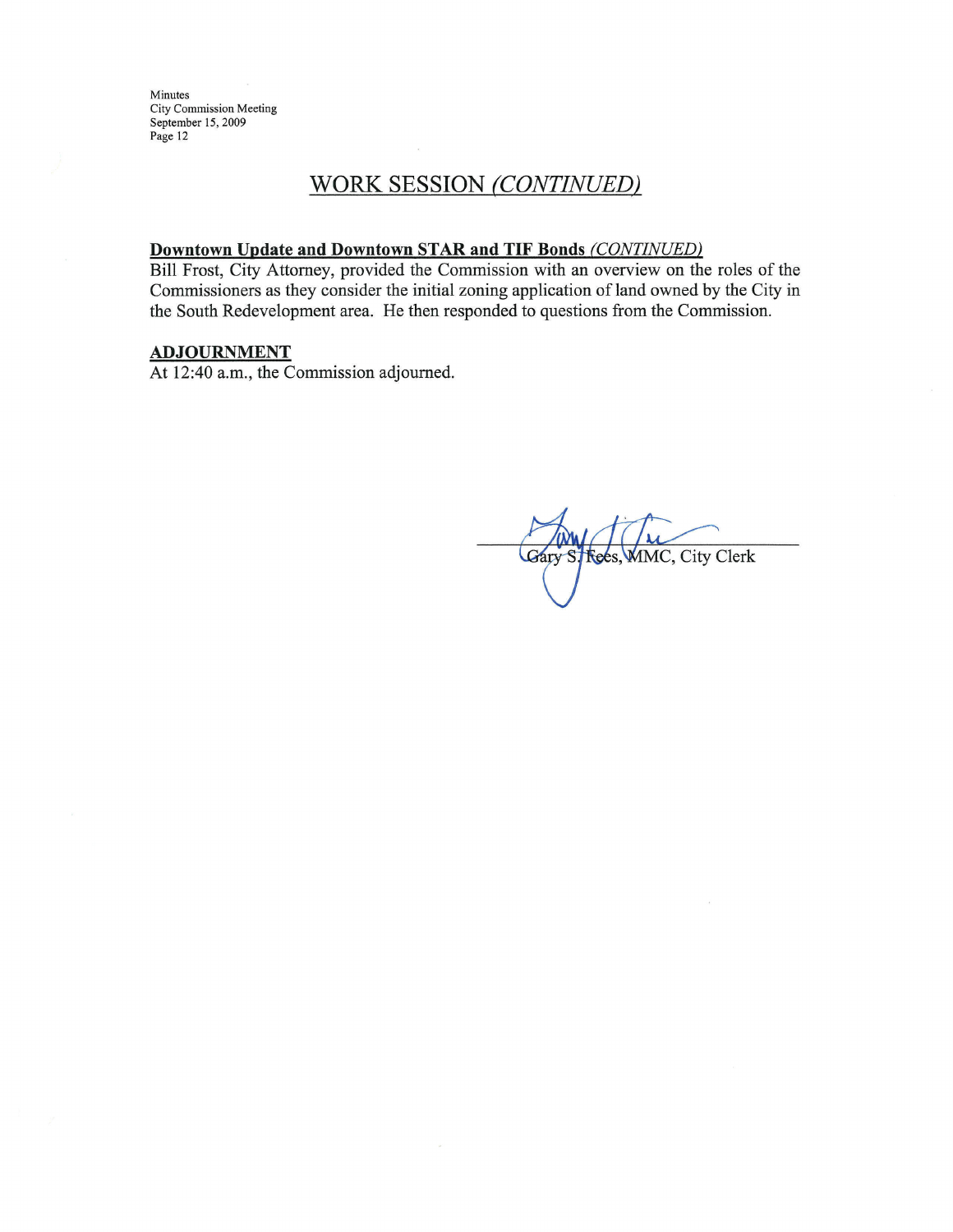Minutes City Commission Meeting September 15, 2009 Page 12

## WORK SESSION (CONTINUED)

#### Downtown Update and Downtown STAR and TIF Bonds (CONTINUED)

Bill Frost, City Attorney, provided the Commission with an overview on the roles of the Commissioners as they consider the initial zoning application of land owned by the City in the South Redevelopment area. He then responded to questions from the Commission.

## **ADJOURNMENT**

At 12:40 a.m., the Commission adjourned.

**Rees, MMC, City Clerk**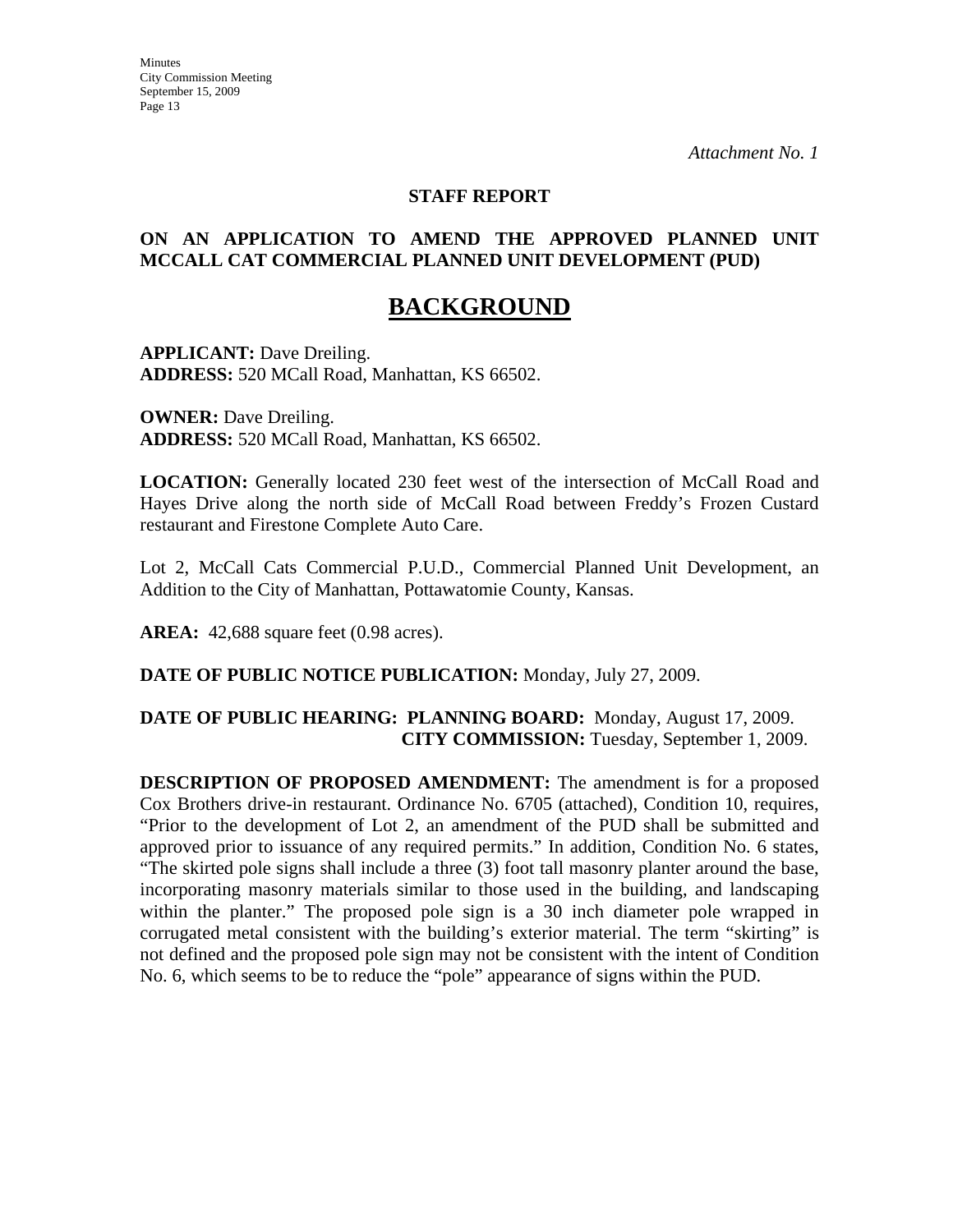#### **STAFF REPORT**

#### **ON AN APPLICATION TO AMEND THE APPROVED PLANNED UNIT MCCALL CAT COMMERCIAL PLANNED UNIT DEVELOPMENT (PUD)**

## **BACKGROUND**

**APPLICANT:** Dave Dreiling. **ADDRESS:** 520 MCall Road, Manhattan, KS 66502.

**OWNER:** Dave Dreiling. **ADDRESS:** 520 MCall Road, Manhattan, KS 66502.

**LOCATION:** Generally located 230 feet west of the intersection of McCall Road and Hayes Drive along the north side of McCall Road between Freddy's Frozen Custard restaurant and Firestone Complete Auto Care.

Lot 2, McCall Cats Commercial P.U.D., Commercial Planned Unit Development, an Addition to the City of Manhattan, Pottawatomie County, Kansas.

**AREA:** 42,688 square feet (0.98 acres).

**DATE OF PUBLIC NOTICE PUBLICATION:** Monday, July 27, 2009.

#### **DATE OF PUBLIC HEARING: PLANNING BOARD:** Monday, August 17, 2009. **CITY COMMISSION:** Tuesday, September 1, 2009.

**DESCRIPTION OF PROPOSED AMENDMENT:** The amendment is for a proposed Cox Brothers drive-in restaurant. Ordinance No. 6705 (attached), Condition 10, requires, "Prior to the development of Lot 2, an amendment of the PUD shall be submitted and approved prior to issuance of any required permits." In addition, Condition No. 6 states, "The skirted pole signs shall include a three (3) foot tall masonry planter around the base, incorporating masonry materials similar to those used in the building, and landscaping within the planter." The proposed pole sign is a 30 inch diameter pole wrapped in corrugated metal consistent with the building's exterior material. The term "skirting" is not defined and the proposed pole sign may not be consistent with the intent of Condition No. 6, which seems to be to reduce the "pole" appearance of signs within the PUD.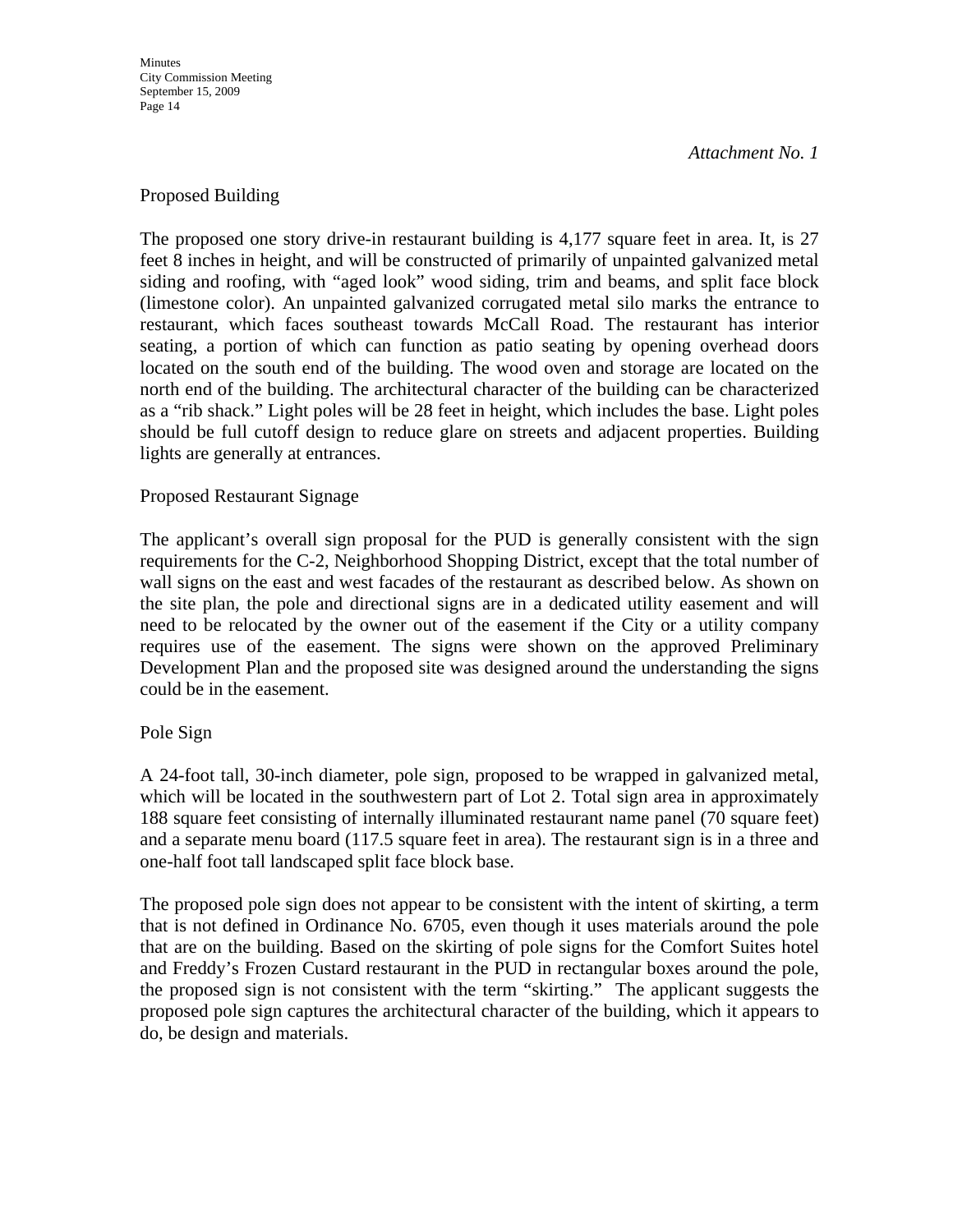**Minutes** City Commission Meeting September 15, 2009 Page 14

*Attachment No. 1*

#### Proposed Building

The proposed one story drive-in restaurant building is 4,177 square feet in area. It, is 27 feet 8 inches in height, and will be constructed of primarily of unpainted galvanized metal siding and roofing, with "aged look" wood siding, trim and beams, and split face block (limestone color). An unpainted galvanized corrugated metal silo marks the entrance to restaurant, which faces southeast towards McCall Road. The restaurant has interior seating, a portion of which can function as patio seating by opening overhead doors located on the south end of the building. The wood oven and storage are located on the north end of the building. The architectural character of the building can be characterized as a "rib shack." Light poles will be 28 feet in height, which includes the base. Light poles should be full cutoff design to reduce glare on streets and adjacent properties. Building lights are generally at entrances.

#### Proposed Restaurant Signage

The applicant's overall sign proposal for the PUD is generally consistent with the sign requirements for the C-2, Neighborhood Shopping District, except that the total number of wall signs on the east and west facades of the restaurant as described below. As shown on the site plan, the pole and directional signs are in a dedicated utility easement and will need to be relocated by the owner out of the easement if the City or a utility company requires use of the easement. The signs were shown on the approved Preliminary Development Plan and the proposed site was designed around the understanding the signs could be in the easement.

#### Pole Sign

A 24-foot tall, 30-inch diameter, pole sign, proposed to be wrapped in galvanized metal, which will be located in the southwestern part of Lot 2. Total sign area in approximately 188 square feet consisting of internally illuminated restaurant name panel (70 square feet) and a separate menu board (117.5 square feet in area). The restaurant sign is in a three and one-half foot tall landscaped split face block base.

The proposed pole sign does not appear to be consistent with the intent of skirting, a term that is not defined in Ordinance No. 6705, even though it uses materials around the pole that are on the building. Based on the skirting of pole signs for the Comfort Suites hotel and Freddy's Frozen Custard restaurant in the PUD in rectangular boxes around the pole, the proposed sign is not consistent with the term "skirting." The applicant suggests the proposed pole sign captures the architectural character of the building, which it appears to do, be design and materials.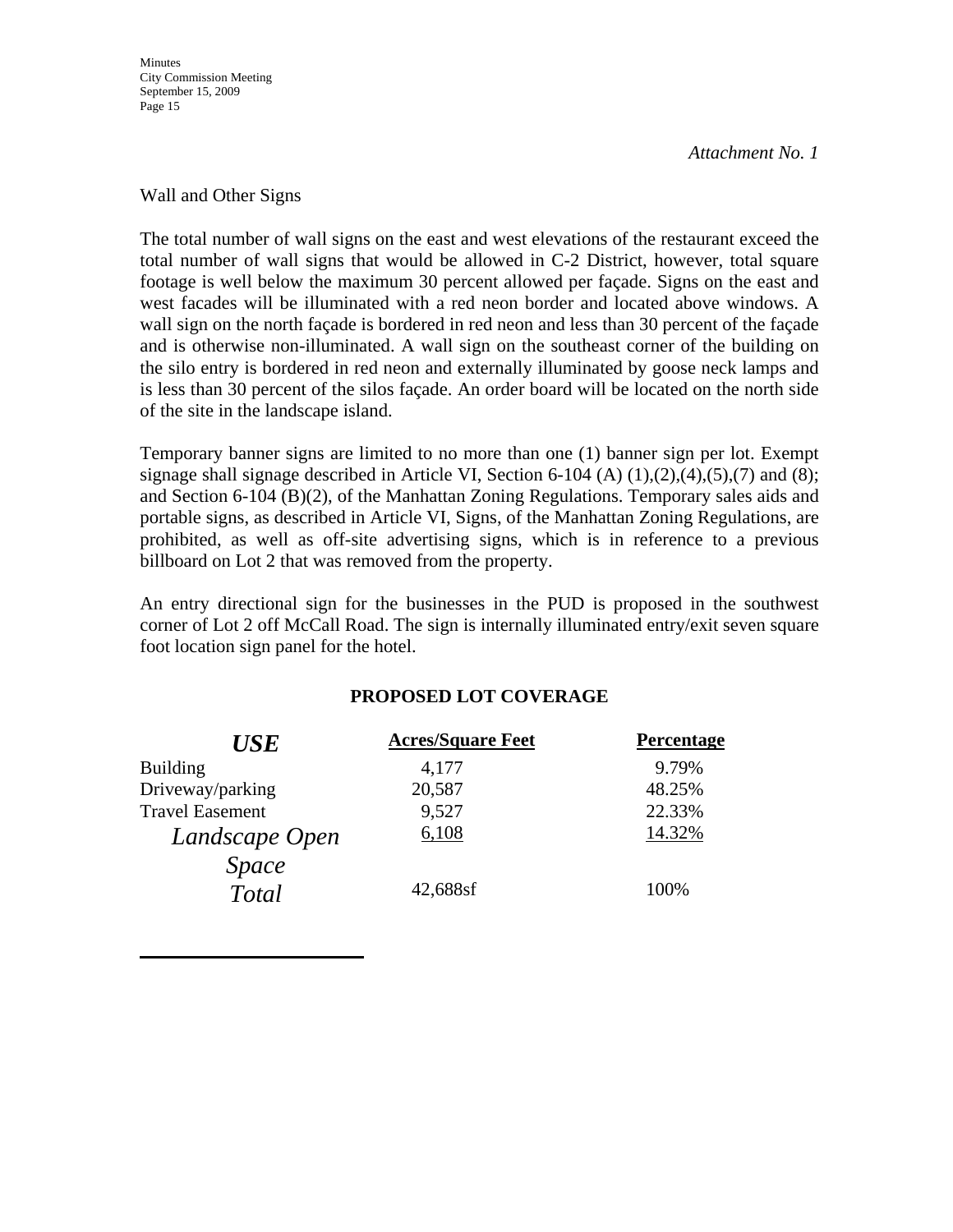**Minutes** City Commission Meeting September 15, 2009 Page 15

*Attachment No. 1*

#### Wall and Other Signs

The total number of wall signs on the east and west elevations of the restaurant exceed the total number of wall signs that would be allowed in C-2 District, however, total square footage is well below the maximum 30 percent allowed per façade. Signs on the east and west facades will be illuminated with a red neon border and located above windows. A wall sign on the north façade is bordered in red neon and less than 30 percent of the façade and is otherwise non-illuminated. A wall sign on the southeast corner of the building on the silo entry is bordered in red neon and externally illuminated by goose neck lamps and is less than 30 percent of the silos façade. An order board will be located on the north side of the site in the landscape island.

Temporary banner signs are limited to no more than one (1) banner sign per lot. Exempt signage shall signage described in Article VI, Section 6-104 (A)  $(1)$ , $(2)$ , $(4)$ , $(5)$ , $(7)$  and  $(8)$ ; and Section 6-104 (B)(2), of the Manhattan Zoning Regulations. Temporary sales aids and portable signs, as described in Article VI, Signs, of the Manhattan Zoning Regulations, are prohibited, as well as off-site advertising signs, which is in reference to a previous billboard on Lot 2 that was removed from the property.

An entry directional sign for the businesses in the PUD is proposed in the southwest corner of Lot 2 off McCall Road. The sign is internally illuminated entry/exit seven square foot location sign panel for the hotel.

#### **PROPOSED LOT COVERAGE**

| <b>USE</b>             | <b>Acres/Square Feet</b> | Percentage |
|------------------------|--------------------------|------------|
| <b>Building</b>        | 4,177                    | 9.79%      |
| Driveway/parking       | 20,587                   | 48.25%     |
| <b>Travel Easement</b> | 9,527                    | 22.33%     |
| Landscape Open         | 6,108                    | 14.32%     |
| <i>Space</i>           |                          |            |
| <b>Total</b>           | 42,688sf                 | 100%       |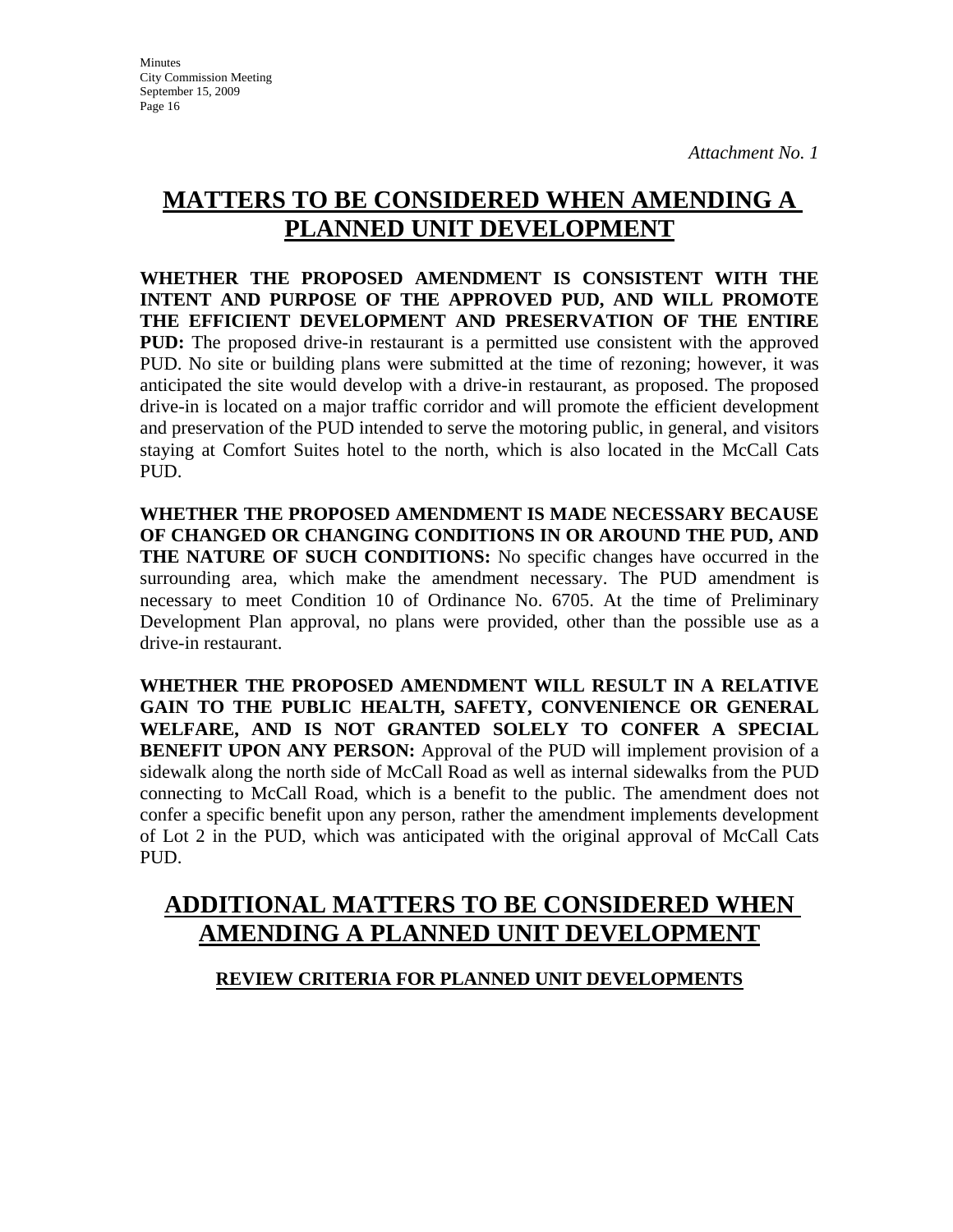# **MATTERS TO BE CONSIDERED WHEN AMENDING A PLANNED UNIT DEVELOPMENT**

**WHETHER THE PROPOSED AMENDMENT IS CONSISTENT WITH THE INTENT AND PURPOSE OF THE APPROVED PUD, AND WILL PROMOTE THE EFFICIENT DEVELOPMENT AND PRESERVATION OF THE ENTIRE PUD:** The proposed drive-in restaurant is a permitted use consistent with the approved PUD. No site or building plans were submitted at the time of rezoning; however, it was anticipated the site would develop with a drive-in restaurant, as proposed. The proposed drive-in is located on a major traffic corridor and will promote the efficient development and preservation of the PUD intended to serve the motoring public, in general, and visitors staying at Comfort Suites hotel to the north, which is also located in the McCall Cats PUD.

**WHETHER THE PROPOSED AMENDMENT IS MADE NECESSARY BECAUSE OF CHANGED OR CHANGING CONDITIONS IN OR AROUND THE PUD, AND THE NATURE OF SUCH CONDITIONS:** No specific changes have occurred in the surrounding area, which make the amendment necessary. The PUD amendment is necessary to meet Condition 10 of Ordinance No. 6705. At the time of Preliminary Development Plan approval, no plans were provided, other than the possible use as a drive-in restaurant.

**WHETHER THE PROPOSED AMENDMENT WILL RESULT IN A RELATIVE GAIN TO THE PUBLIC HEALTH, SAFETY, CONVENIENCE OR GENERAL WELFARE, AND IS NOT GRANTED SOLELY TO CONFER A SPECIAL BENEFIT UPON ANY PERSON:** Approval of the PUD will implement provision of a sidewalk along the north side of McCall Road as well as internal sidewalks from the PUD connecting to McCall Road, which is a benefit to the public. The amendment does not confer a specific benefit upon any person, rather the amendment implements development of Lot 2 in the PUD, which was anticipated with the original approval of McCall Cats PUD.

# **ADDITIONAL MATTERS TO BE CONSIDERED WHEN AMENDING A PLANNED UNIT DEVELOPMENT**

## **REVIEW CRITERIA FOR PLANNED UNIT DEVELOPMENTS**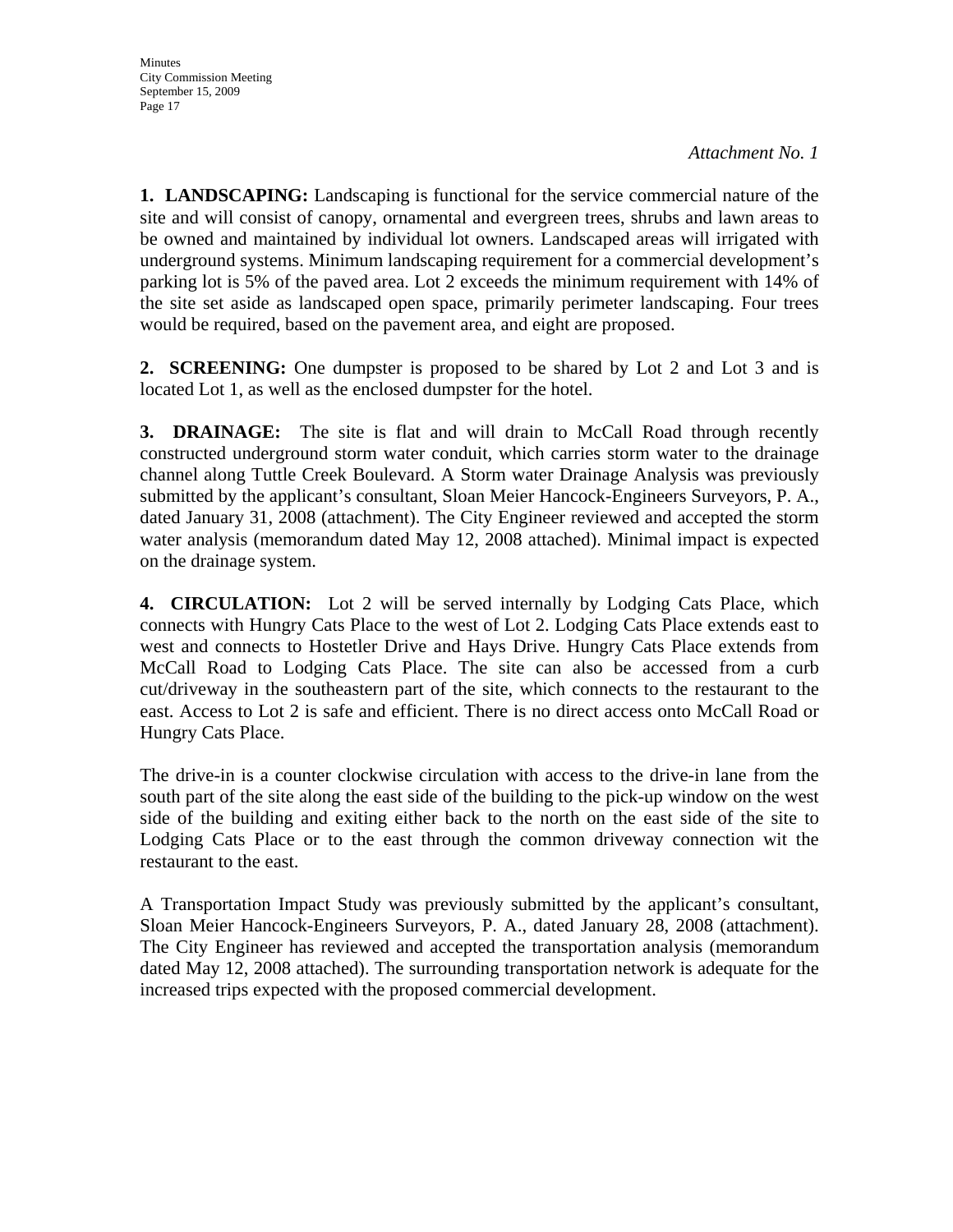**1. LANDSCAPING:** Landscaping is functional for the service commercial nature of the site and will consist of canopy, ornamental and evergreen trees, shrubs and lawn areas to be owned and maintained by individual lot owners. Landscaped areas will irrigated with underground systems. Minimum landscaping requirement for a commercial development's parking lot is 5% of the paved area. Lot 2 exceeds the minimum requirement with 14% of the site set aside as landscaped open space, primarily perimeter landscaping. Four trees would be required, based on the pavement area, and eight are proposed.

**2. SCREENING:** One dumpster is proposed to be shared by Lot 2 and Lot 3 and is located Lot 1, as well as the enclosed dumpster for the hotel.

**3. DRAINAGE:** The site is flat and will drain to McCall Road through recently constructed underground storm water conduit, which carries storm water to the drainage channel along Tuttle Creek Boulevard. A Storm water Drainage Analysis was previously submitted by the applicant's consultant, Sloan Meier Hancock-Engineers Surveyors, P. A., dated January 31, 2008 (attachment). The City Engineer reviewed and accepted the storm water analysis (memorandum dated May 12, 2008 attached). Minimal impact is expected on the drainage system.

**4. CIRCULATION:** Lot 2 will be served internally by Lodging Cats Place, which connects with Hungry Cats Place to the west of Lot 2. Lodging Cats Place extends east to west and connects to Hostetler Drive and Hays Drive. Hungry Cats Place extends from McCall Road to Lodging Cats Place. The site can also be accessed from a curb cut/driveway in the southeastern part of the site, which connects to the restaurant to the east. Access to Lot 2 is safe and efficient. There is no direct access onto McCall Road or Hungry Cats Place.

The drive-in is a counter clockwise circulation with access to the drive-in lane from the south part of the site along the east side of the building to the pick-up window on the west side of the building and exiting either back to the north on the east side of the site to Lodging Cats Place or to the east through the common driveway connection wit the restaurant to the east.

A Transportation Impact Study was previously submitted by the applicant's consultant, Sloan Meier Hancock-Engineers Surveyors, P. A., dated January 28, 2008 (attachment). The City Engineer has reviewed and accepted the transportation analysis (memorandum dated May 12, 2008 attached). The surrounding transportation network is adequate for the increased trips expected with the proposed commercial development.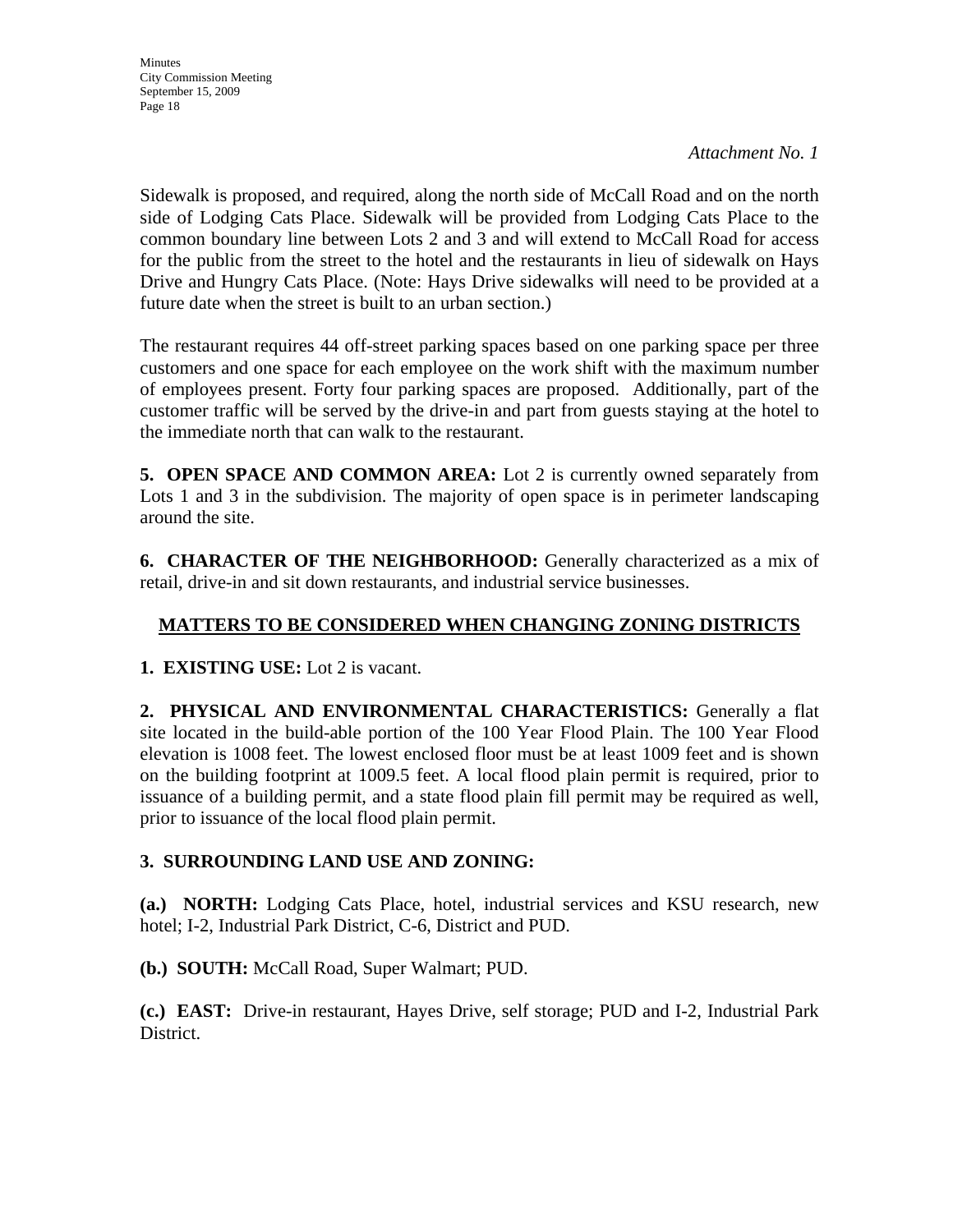Sidewalk is proposed, and required, along the north side of McCall Road and on the north side of Lodging Cats Place. Sidewalk will be provided from Lodging Cats Place to the common boundary line between Lots 2 and 3 and will extend to McCall Road for access for the public from the street to the hotel and the restaurants in lieu of sidewalk on Hays Drive and Hungry Cats Place. (Note: Hays Drive sidewalks will need to be provided at a future date when the street is built to an urban section.)

The restaurant requires 44 off-street parking spaces based on one parking space per three customers and one space for each employee on the work shift with the maximum number of employees present. Forty four parking spaces are proposed. Additionally, part of the customer traffic will be served by the drive-in and part from guests staying at the hotel to the immediate north that can walk to the restaurant.

**5. OPEN SPACE AND COMMON AREA:** Lot 2 is currently owned separately from Lots 1 and 3 in the subdivision. The majority of open space is in perimeter landscaping around the site.

**6. CHARACTER OF THE NEIGHBORHOOD:** Generally characterized as a mix of retail, drive-in and sit down restaurants, and industrial service businesses.

## **MATTERS TO BE CONSIDERED WHEN CHANGING ZONING DISTRICTS**

**1. EXISTING USE:** Lot 2 is vacant.

**2. PHYSICAL AND ENVIRONMENTAL CHARACTERISTICS:** Generally a flat site located in the build-able portion of the 100 Year Flood Plain. The 100 Year Flood elevation is 1008 feet. The lowest enclosed floor must be at least 1009 feet and is shown on the building footprint at 1009.5 feet. A local flood plain permit is required, prior to issuance of a building permit, and a state flood plain fill permit may be required as well, prior to issuance of the local flood plain permit.

## **3. SURROUNDING LAND USE AND ZONING:**

**(a.) NORTH:** Lodging Cats Place, hotel, industrial services and KSU research, new hotel; I-2, Industrial Park District, C-6, District and PUD.

**(b.) SOUTH:** McCall Road, Super Walmart; PUD.

**(c.) EAST:** Drive-in restaurant, Hayes Drive, self storage; PUD and I-2, Industrial Park District.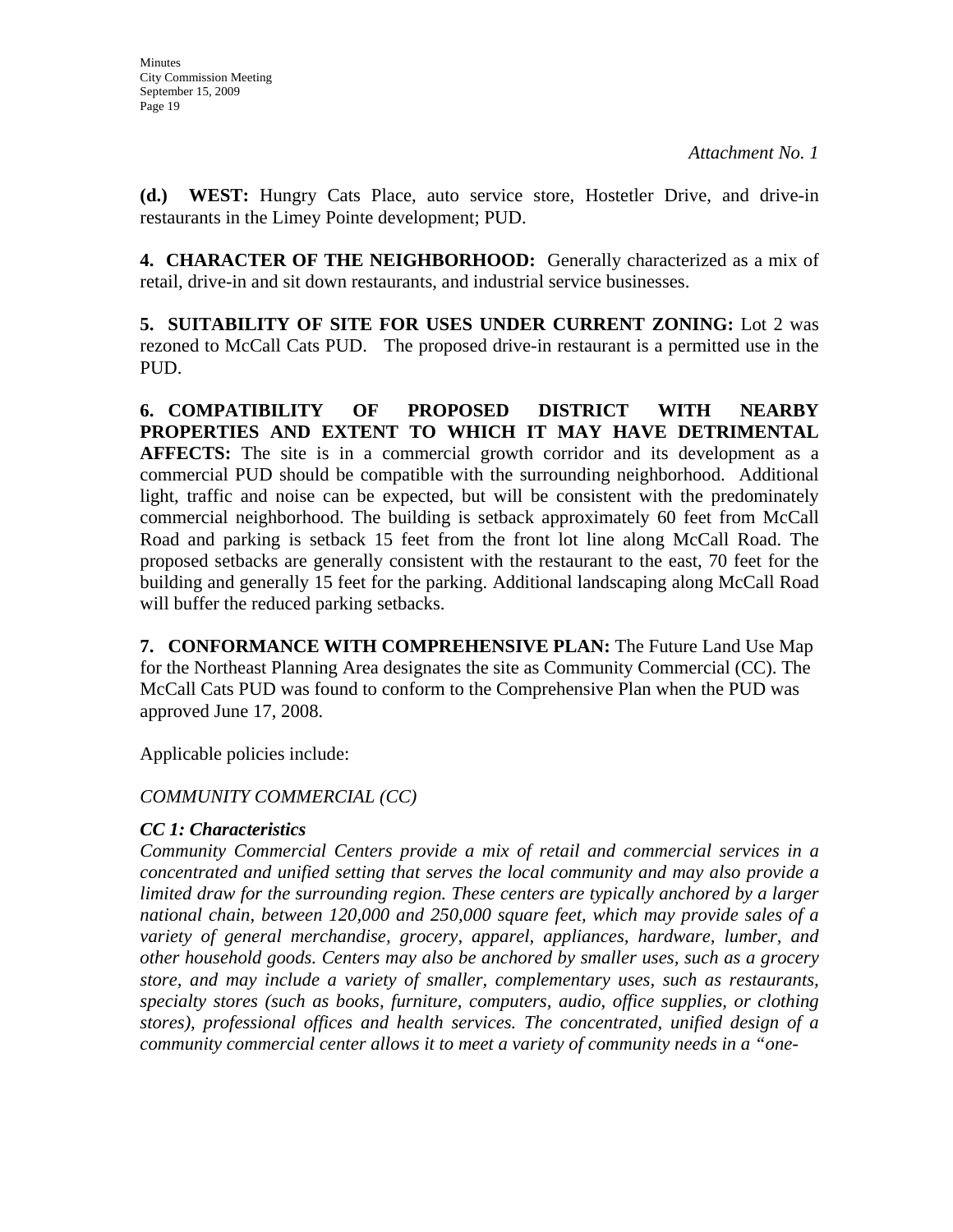**(d.) WEST:** Hungry Cats Place, auto service store, Hostetler Drive, and drive-in restaurants in the Limey Pointe development; PUD.

**4. CHARACTER OF THE NEIGHBORHOOD:** Generally characterized as a mix of retail, drive-in and sit down restaurants, and industrial service businesses.

**5. SUITABILITY OF SITE FOR USES UNDER CURRENT ZONING:** Lot 2 was rezoned to McCall Cats PUD. The proposed drive-in restaurant is a permitted use in the PUD.

**6. COMPATIBILITY OF PROPOSED DISTRICT WITH NEARBY PROPERTIES AND EXTENT TO WHICH IT MAY HAVE DETRIMENTAL**  AFFECTS: The site is in a commercial growth corridor and its development as a commercial PUD should be compatible with the surrounding neighborhood. Additional light, traffic and noise can be expected, but will be consistent with the predominately commercial neighborhood. The building is setback approximately 60 feet from McCall Road and parking is setback 15 feet from the front lot line along McCall Road. The proposed setbacks are generally consistent with the restaurant to the east, 70 feet for the building and generally 15 feet for the parking. Additional landscaping along McCall Road will buffer the reduced parking setbacks.

**7. CONFORMANCE WITH COMPREHENSIVE PLAN:** The Future Land Use Map for the Northeast Planning Area designates the site as Community Commercial (CC). The McCall Cats PUD was found to conform to the Comprehensive Plan when the PUD was approved June 17, 2008.

Applicable policies include:

## *COMMUNITY COMMERCIAL (CC)*

## *CC 1: Characteristics*

*Community Commercial Centers provide a mix of retail and commercial services in a concentrated and unified setting that serves the local community and may also provide a limited draw for the surrounding region. These centers are typically anchored by a larger national chain, between 120,000 and 250,000 square feet, which may provide sales of a variety of general merchandise, grocery, apparel, appliances, hardware, lumber, and other household goods. Centers may also be anchored by smaller uses, such as a grocery store, and may include a variety of smaller, complementary uses, such as restaurants, specialty stores (such as books, furniture, computers, audio, office supplies, or clothing stores), professional offices and health services. The concentrated, unified design of a community commercial center allows it to meet a variety of community needs in a "one-*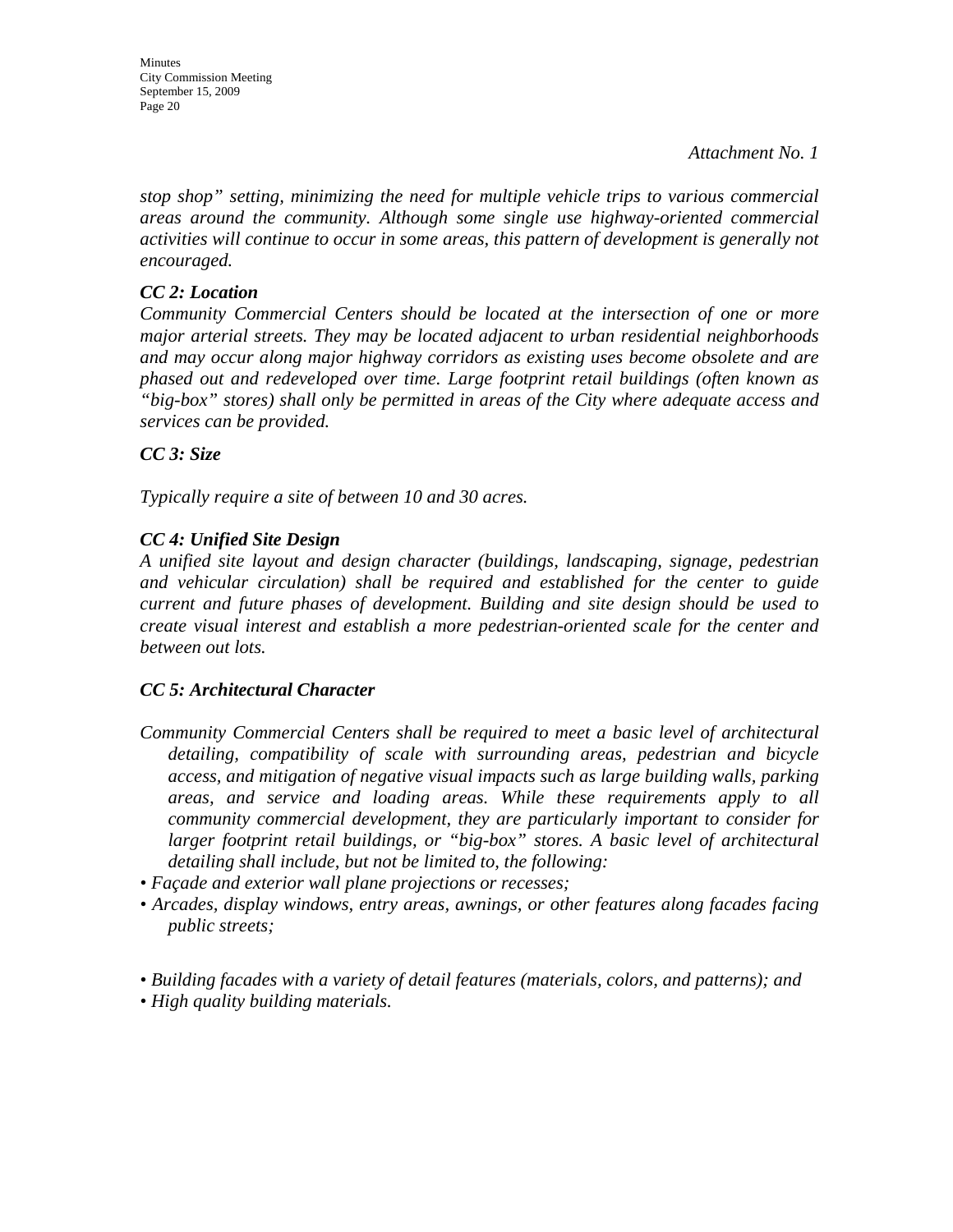*stop shop" setting, minimizing the need for multiple vehicle trips to various commercial areas around the community. Although some single use highway-oriented commercial activities will continue to occur in some areas, this pattern of development is generally not encouraged.* 

### *CC 2: Location*

*Community Commercial Centers should be located at the intersection of one or more major arterial streets. They may be located adjacent to urban residential neighborhoods and may occur along major highway corridors as existing uses become obsolete and are phased out and redeveloped over time. Large footprint retail buildings (often known as "big-box" stores) shall only be permitted in areas of the City where adequate access and services can be provided.* 

## *CC 3: Size*

*Typically require a site of between 10 and 30 acres.* 

## *CC 4: Unified Site Design*

*A unified site layout and design character (buildings, landscaping, signage, pedestrian and vehicular circulation) shall be required and established for the center to guide current and future phases of development. Building and site design should be used to create visual interest and establish a more pedestrian-oriented scale for the center and between out lots.* 

## *CC 5: Architectural Character*

- *Community Commercial Centers shall be required to meet a basic level of architectural detailing, compatibility of scale with surrounding areas, pedestrian and bicycle access, and mitigation of negative visual impacts such as large building walls, parking areas, and service and loading areas. While these requirements apply to all community commercial development, they are particularly important to consider for larger footprint retail buildings, or "big-box" stores. A basic level of architectural detailing shall include, but not be limited to, the following:*
- *Façade and exterior wall plane projections or recesses;*
- *Arcades, display windows, entry areas, awnings, or other features along facades facing public streets;*
- *Building facades with a variety of detail features (materials, colors, and patterns); and*
- *High quality building materials.*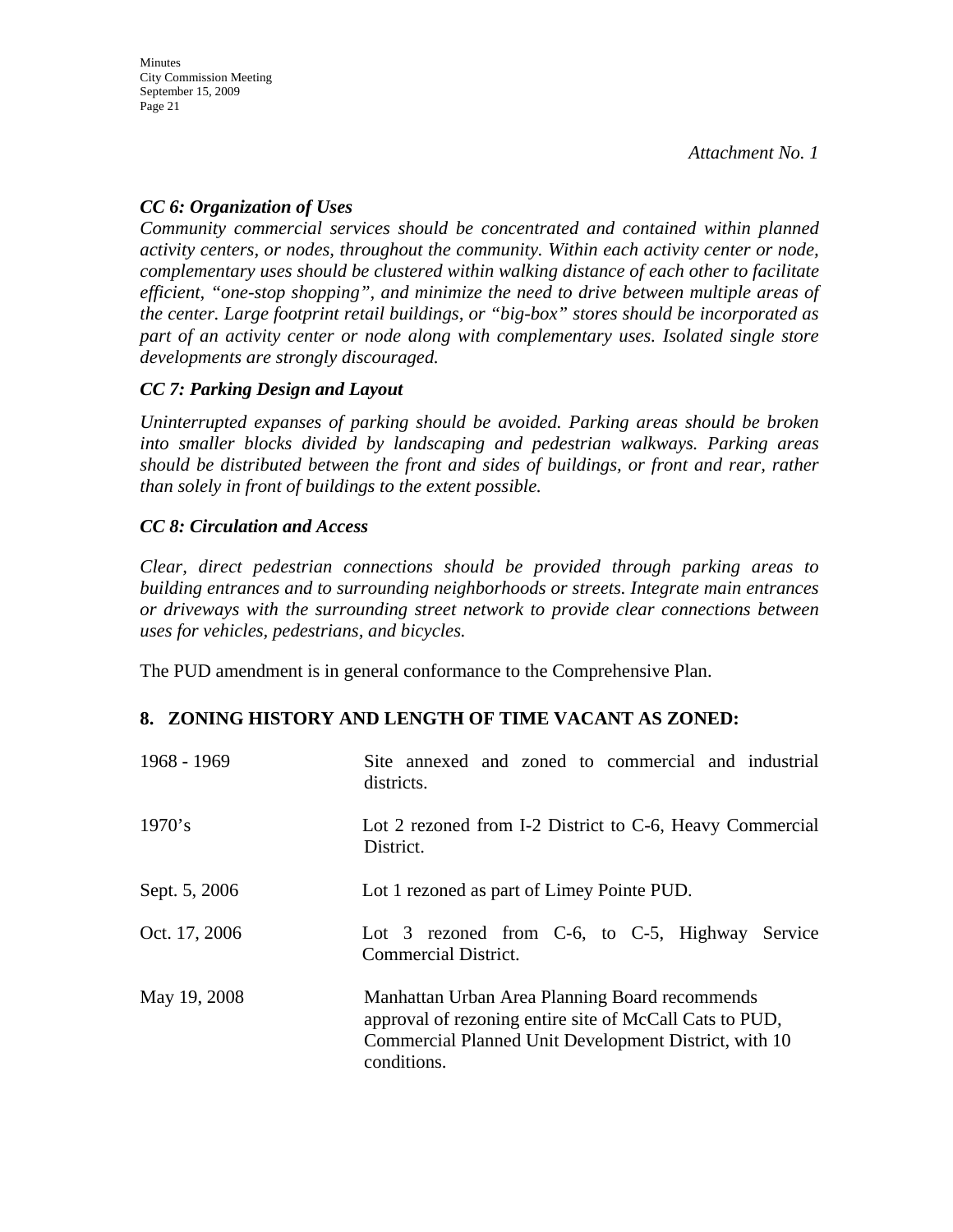## *CC 6: Organization of Uses*

*Community commercial services should be concentrated and contained within planned activity centers, or nodes, throughout the community. Within each activity center or node, complementary uses should be clustered within walking distance of each other to facilitate efficient, "one-stop shopping", and minimize the need to drive between multiple areas of the center. Large footprint retail buildings, or "big-box" stores should be incorporated as part of an activity center or node along with complementary uses. Isolated single store developments are strongly discouraged.* 

## *CC 7: Parking Design and Layout*

*Uninterrupted expanses of parking should be avoided. Parking areas should be broken into smaller blocks divided by landscaping and pedestrian walkways. Parking areas should be distributed between the front and sides of buildings, or front and rear, rather than solely in front of buildings to the extent possible.* 

## *CC 8: Circulation and Access*

*Clear, direct pedestrian connections should be provided through parking areas to building entrances and to surrounding neighborhoods or streets. Integrate main entrances or driveways with the surrounding street network to provide clear connections between uses for vehicles, pedestrians, and bicycles.* 

The PUD amendment is in general conformance to the Comprehensive Plan.

## **8. ZONING HISTORY AND LENGTH OF TIME VACANT AS ZONED:**

| 1968 - 1969   | Site annexed and zoned to commercial and industrial<br>districts.                                                                                                                 |
|---------------|-----------------------------------------------------------------------------------------------------------------------------------------------------------------------------------|
| 1970's        | Lot 2 rezoned from I-2 District to C-6, Heavy Commercial<br>District.                                                                                                             |
| Sept. 5, 2006 | Lot 1 rezoned as part of Limey Pointe PUD.                                                                                                                                        |
| Oct. 17, 2006 | Lot 3 rezoned from C-6, to C-5, Highway Service<br>Commercial District.                                                                                                           |
| May 19, 2008  | Manhattan Urban Area Planning Board recommends<br>approval of rezoning entire site of McCall Cats to PUD,<br>Commercial Planned Unit Development District, with 10<br>conditions. |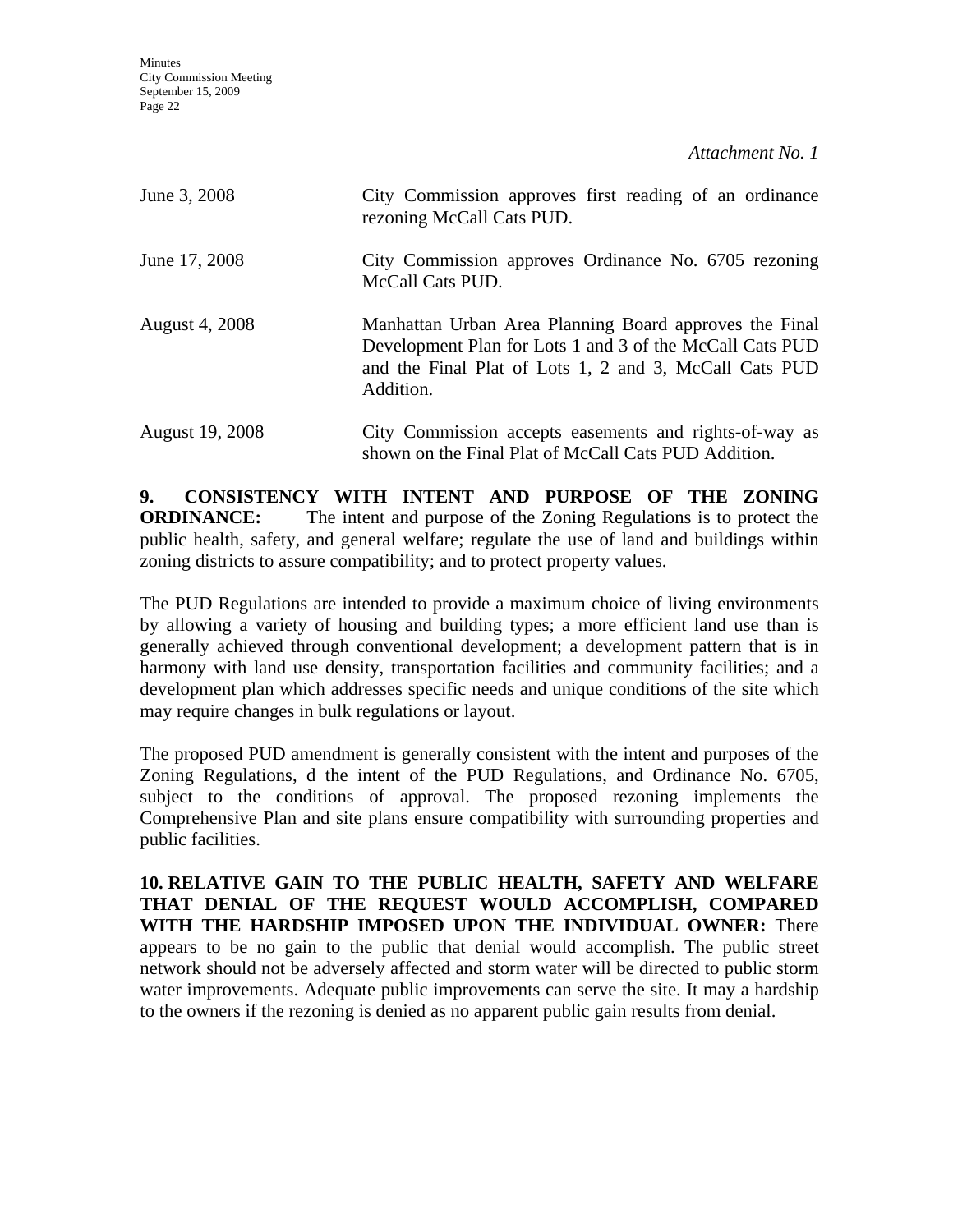**Minutes** City Commission Meeting September 15, 2009 Page 22

*Attachment No. 1*

| June 3, 2008          | City Commission approves first reading of an ordinance<br>rezoning McCall Cats PUD.                                                                                                       |  |
|-----------------------|-------------------------------------------------------------------------------------------------------------------------------------------------------------------------------------------|--|
| June 17, 2008         | City Commission approves Ordinance No. 6705 rezoning<br>McCall Cats PUD.                                                                                                                  |  |
| <b>August 4, 2008</b> | Manhattan Urban Area Planning Board approves the Final<br>Development Plan for Lots 1 and 3 of the McCall Cats PUD<br>and the Final Plat of Lots 1, 2 and 3, McCall Cats PUD<br>Addition. |  |
| August 19, 2008       | City Commission accepts easements and rights-of-way as<br>shown on the Final Plat of McCall Cats PUD Addition.                                                                            |  |

**9. CONSISTENCY WITH INTENT AND PURPOSE OF THE ZONING ORDINANCE:** The intent and purpose of the Zoning Regulations is to protect the public health, safety, and general welfare; regulate the use of land and buildings within zoning districts to assure compatibility; and to protect property values.

The PUD Regulations are intended to provide a maximum choice of living environments by allowing a variety of housing and building types; a more efficient land use than is generally achieved through conventional development; a development pattern that is in harmony with land use density, transportation facilities and community facilities; and a development plan which addresses specific needs and unique conditions of the site which may require changes in bulk regulations or layout.

The proposed PUD amendment is generally consistent with the intent and purposes of the Zoning Regulations, d the intent of the PUD Regulations, and Ordinance No. 6705, subject to the conditions of approval. The proposed rezoning implements the Comprehensive Plan and site plans ensure compatibility with surrounding properties and public facilities.

**10. RELATIVE GAIN TO THE PUBLIC HEALTH, SAFETY AND WELFARE THAT DENIAL OF THE REQUEST WOULD ACCOMPLISH, COMPARED WITH THE HARDSHIP IMPOSED UPON THE INDIVIDUAL OWNER:** There appears to be no gain to the public that denial would accomplish. The public street network should not be adversely affected and storm water will be directed to public storm water improvements. Adequate public improvements can serve the site. It may a hardship to the owners if the rezoning is denied as no apparent public gain results from denial.